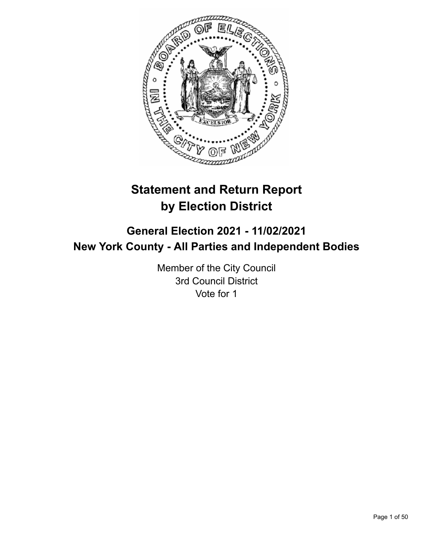

# **Statement and Return Report by Election District**

# **General Election 2021 - 11/02/2021 New York County - All Parties and Independent Bodies**

Member of the City Council 3rd Council District Vote for 1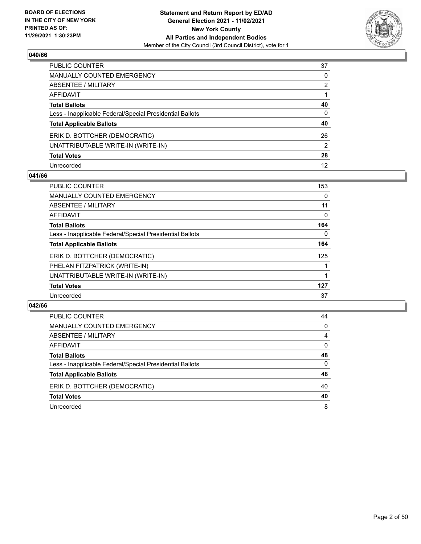

| PUBLIC COUNTER                                           | 37           |
|----------------------------------------------------------|--------------|
| MANUALLY COUNTED EMERGENCY                               | 0            |
| ABSENTEE / MILITARY                                      | 2            |
| AFFIDAVIT                                                |              |
| Total Ballots                                            | 40           |
| Less - Inapplicable Federal/Special Presidential Ballots | $\mathbf{0}$ |
| <b>Total Applicable Ballots</b>                          | 40           |
| ERIK D. BOTTCHER (DEMOCRATIC)                            | 26           |
| UNATTRIBUTABLE WRITE-IN (WRITE-IN)                       | 2            |
| <b>Total Votes</b>                                       | 28           |
| Unrecorded                                               | 12           |

#### **041/66**

| <b>PUBLIC COUNTER</b>                                    | 153      |
|----------------------------------------------------------|----------|
| <b>MANUALLY COUNTED EMERGENCY</b>                        | 0        |
| ABSENTEE / MILITARY                                      | 11       |
| AFFIDAVIT                                                | 0        |
| <b>Total Ballots</b>                                     | 164      |
| Less - Inapplicable Federal/Special Presidential Ballots | $\Omega$ |
| <b>Total Applicable Ballots</b>                          | 164      |
| ERIK D. BOTTCHER (DEMOCRATIC)                            | 125      |
| PHELAN FITZPATRICK (WRITE-IN)                            |          |
| UNATTRIBUTABLE WRITE-IN (WRITE-IN)                       |          |
| <b>Total Votes</b>                                       | 127      |
| Unrecorded                                               | 37       |

| PUBLIC COUNTER                                           | 44       |
|----------------------------------------------------------|----------|
| <b>MANUALLY COUNTED EMERGENCY</b>                        | $\Omega$ |
| ABSENTEE / MILITARY                                      | 4        |
| AFFIDAVIT                                                | 0        |
| <b>Total Ballots</b>                                     | 48       |
| Less - Inapplicable Federal/Special Presidential Ballots | $\Omega$ |
| <b>Total Applicable Ballots</b>                          | 48       |
| ERIK D. BOTTCHER (DEMOCRATIC)                            | 40       |
| <b>Total Votes</b>                                       | 40       |
| Unrecorded                                               | 8        |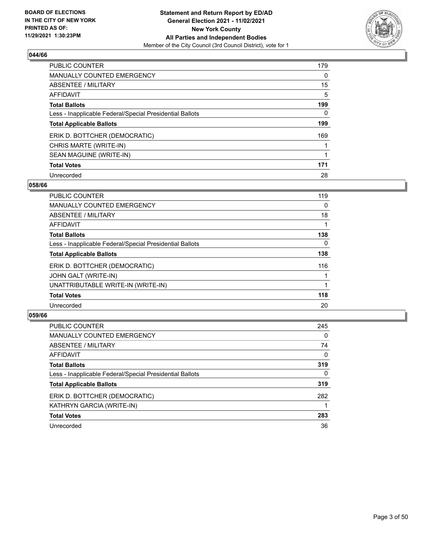

| <b>PUBLIC COUNTER</b>                                    | 179      |
|----------------------------------------------------------|----------|
| MANUALLY COUNTED EMERGENCY                               | $\Omega$ |
| ABSENTEE / MILITARY                                      | 15       |
| AFFIDAVIT                                                | 5        |
| <b>Total Ballots</b>                                     | 199      |
| Less - Inapplicable Federal/Special Presidential Ballots | 0        |
| <b>Total Applicable Ballots</b>                          | 199      |
| ERIK D. BOTTCHER (DEMOCRATIC)                            | 169      |
| CHRIS MARTE (WRITE-IN)                                   |          |
| SEAN MAGUINE (WRITE-IN)                                  |          |
| <b>Total Votes</b>                                       | 171      |
| Unrecorded                                               | 28       |

#### **058/66**

| <b>PUBLIC COUNTER</b>                                    | 119      |
|----------------------------------------------------------|----------|
| <b>MANUALLY COUNTED EMERGENCY</b>                        | 0        |
| ABSENTEE / MILITARY                                      | 18       |
| <b>AFFIDAVIT</b>                                         |          |
| <b>Total Ballots</b>                                     | 138      |
| Less - Inapplicable Federal/Special Presidential Ballots | $\Omega$ |
| <b>Total Applicable Ballots</b>                          | 138      |
| ERIK D. BOTTCHER (DEMOCRATIC)                            | 116      |
| JOHN GALT (WRITE-IN)                                     |          |
| UNATTRIBUTABLE WRITE-IN (WRITE-IN)                       |          |
| <b>Total Votes</b>                                       | 118      |
| Unrecorded                                               | 20       |

| <b>PUBLIC COUNTER</b>                                    | 245          |
|----------------------------------------------------------|--------------|
| MANUALLY COUNTED EMERGENCY                               | $\Omega$     |
| ABSENTEE / MILITARY                                      | 74           |
| AFFIDAVIT                                                | $\Omega$     |
| <b>Total Ballots</b>                                     | 319          |
| Less - Inapplicable Federal/Special Presidential Ballots | $\mathbf{0}$ |
| <b>Total Applicable Ballots</b>                          | 319          |
| ERIK D. BOTTCHER (DEMOCRATIC)                            | 282          |
| KATHRYN GARCIA (WRITE-IN)                                |              |
| <b>Total Votes</b>                                       | 283          |
| Unrecorded                                               | 36           |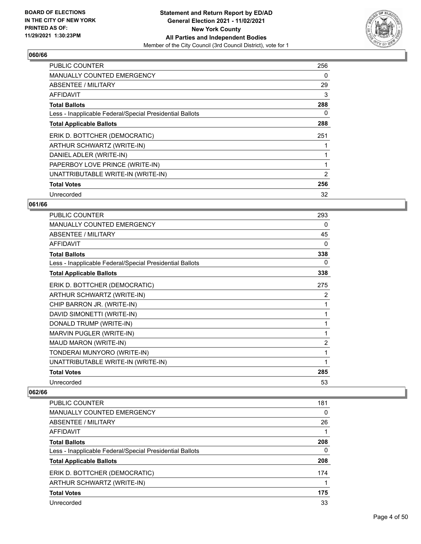

| <b>PUBLIC COUNTER</b>                                    | 256 |
|----------------------------------------------------------|-----|
| <b>MANUALLY COUNTED EMERGENCY</b>                        | 0   |
| ABSENTEE / MILITARY                                      | 29  |
| AFFIDAVIT                                                | 3   |
| <b>Total Ballots</b>                                     | 288 |
| Less - Inapplicable Federal/Special Presidential Ballots | 0   |
| <b>Total Applicable Ballots</b>                          | 288 |
| ERIK D. BOTTCHER (DEMOCRATIC)                            | 251 |
| ARTHUR SCHWARTZ (WRITE-IN)                               |     |
| DANIEL ADLER (WRITE-IN)                                  |     |
| PAPERBOY LOVE PRINCE (WRITE-IN)                          |     |
| UNATTRIBUTABLE WRITE-IN (WRITE-IN)                       | 2   |
| <b>Total Votes</b>                                       | 256 |
| Unrecorded                                               | 32  |

# **061/66**

| PUBLIC COUNTER                                           | 293            |
|----------------------------------------------------------|----------------|
| <b>MANUALLY COUNTED EMERGENCY</b>                        | 0              |
| ABSENTEE / MILITARY                                      | 45             |
| <b>AFFIDAVIT</b>                                         | $\Omega$       |
| <b>Total Ballots</b>                                     | 338            |
| Less - Inapplicable Federal/Special Presidential Ballots | 0              |
| <b>Total Applicable Ballots</b>                          | 338            |
| ERIK D. BOTTCHER (DEMOCRATIC)                            | 275            |
| ARTHUR SCHWARTZ (WRITE-IN)                               | 2              |
| CHIP BARRON JR. (WRITE-IN)                               | 1              |
| DAVID SIMONETTI (WRITE-IN)                               | 1              |
| DONALD TRUMP (WRITE-IN)                                  | 1              |
| MARVIN PUGLER (WRITE-IN)                                 | 1              |
| MAUD MARON (WRITE-IN)                                    | $\overline{c}$ |
| TONDERAI MUNYORO (WRITE-IN)                              | 1              |
| UNATTRIBUTABLE WRITE-IN (WRITE-IN)                       | 1              |
| <b>Total Votes</b>                                       | 285            |
| Unrecorded                                               | 53             |

| <b>PUBLIC COUNTER</b>                                    | 181 |
|----------------------------------------------------------|-----|
| <b>MANUALLY COUNTED EMERGENCY</b>                        | 0   |
| ABSENTEE / MILITARY                                      | 26  |
| AFFIDAVIT                                                |     |
| <b>Total Ballots</b>                                     | 208 |
| Less - Inapplicable Federal/Special Presidential Ballots | 0   |
| <b>Total Applicable Ballots</b>                          | 208 |
| ERIK D. BOTTCHER (DEMOCRATIC)                            | 174 |
| ARTHUR SCHWARTZ (WRITE-IN)                               |     |
| <b>Total Votes</b>                                       | 175 |
| Unrecorded                                               | 33  |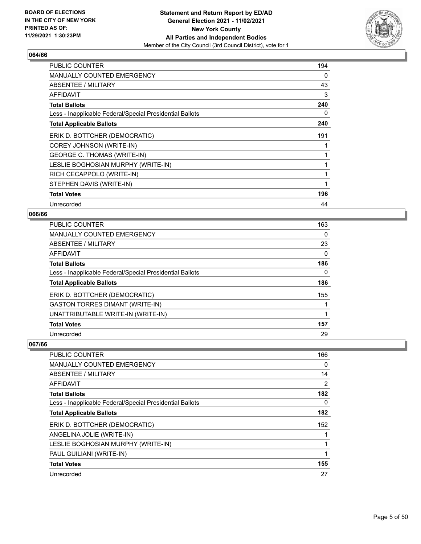

| <b>PUBLIC COUNTER</b>                                    | 194 |
|----------------------------------------------------------|-----|
| <b>MANUALLY COUNTED EMERGENCY</b>                        | 0   |
| ABSENTEE / MILITARY                                      | 43  |
| AFFIDAVIT                                                | 3   |
| <b>Total Ballots</b>                                     | 240 |
| Less - Inapplicable Federal/Special Presidential Ballots | 0   |
| <b>Total Applicable Ballots</b>                          | 240 |
| ERIK D. BOTTCHER (DEMOCRATIC)                            | 191 |
| COREY JOHNSON (WRITE-IN)                                 |     |
| <b>GEORGE C. THOMAS (WRITE-IN)</b>                       |     |
| LESLIE BOGHOSIAN MURPHY (WRITE-IN)                       |     |
| RICH CECAPPOLO (WRITE-IN)                                |     |
| STEPHEN DAVIS (WRITE-IN)                                 | 1   |
| <b>Total Votes</b>                                       | 196 |
| Unrecorded                                               | 44  |

# **066/66**

| PUBLIC COUNTER                                           | 163 |
|----------------------------------------------------------|-----|
| <b>MANUALLY COUNTED EMERGENCY</b>                        | 0   |
| ABSENTEE / MILITARY                                      | 23  |
| <b>AFFIDAVIT</b>                                         | 0   |
| <b>Total Ballots</b>                                     | 186 |
| Less - Inapplicable Federal/Special Presidential Ballots | 0   |
| <b>Total Applicable Ballots</b>                          | 186 |
| ERIK D. BOTTCHER (DEMOCRATIC)                            | 155 |
| <b>GASTON TORRES DIMANT (WRITE-IN)</b>                   |     |
| UNATTRIBUTABLE WRITE-IN (WRITE-IN)                       |     |
| <b>Total Votes</b>                                       | 157 |
| Unrecorded                                               | 29  |

| <b>PUBLIC COUNTER</b>                                    | 166            |
|----------------------------------------------------------|----------------|
| MANUALLY COUNTED EMERGENCY                               | 0              |
| ABSENTEE / MILITARY                                      | 14             |
| AFFIDAVIT                                                | $\overline{2}$ |
| <b>Total Ballots</b>                                     | 182            |
| Less - Inapplicable Federal/Special Presidential Ballots | 0              |
| <b>Total Applicable Ballots</b>                          | 182            |
| ERIK D. BOTTCHER (DEMOCRATIC)                            | 152            |
| ANGELINA JOLIE (WRITE-IN)                                |                |
| LESLIE BOGHOSIAN MURPHY (WRITE-IN)                       |                |
| PAUL GUILIANI (WRITE-IN)                                 |                |
| <b>Total Votes</b>                                       | 155            |
| Unrecorded                                               | 27             |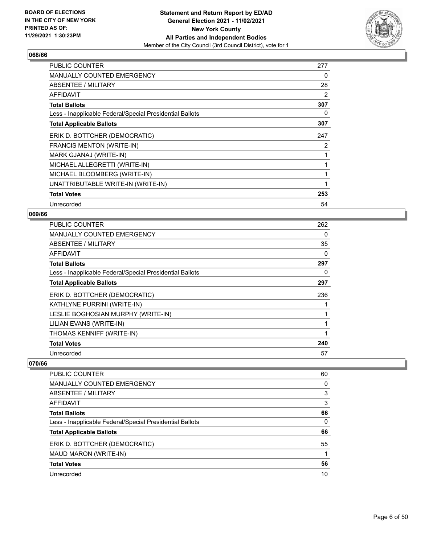

| <b>PUBLIC COUNTER</b>                                    | 277 |
|----------------------------------------------------------|-----|
| <b>MANUALLY COUNTED EMERGENCY</b>                        | 0   |
| ABSENTEE / MILITARY                                      | 28  |
| <b>AFFIDAVIT</b>                                         | 2   |
| <b>Total Ballots</b>                                     | 307 |
| Less - Inapplicable Federal/Special Presidential Ballots | 0   |
| <b>Total Applicable Ballots</b>                          | 307 |
| ERIK D. BOTTCHER (DEMOCRATIC)                            | 247 |
| FRANCIS MENTON (WRITE-IN)                                | 2   |
| MARK GJANAJ (WRITE-IN)                                   |     |
| MICHAEL ALLEGRETTI (WRITE-IN)                            |     |
| MICHAEL BLOOMBERG (WRITE-IN)                             |     |
| UNATTRIBUTABLE WRITE-IN (WRITE-IN)                       | 1   |
| <b>Total Votes</b>                                       | 253 |
| Unrecorded                                               | 54  |

#### **069/66**

| <b>PUBLIC COUNTER</b>                                    | 262 |
|----------------------------------------------------------|-----|
| <b>MANUALLY COUNTED EMERGENCY</b>                        | 0   |
| ABSENTEE / MILITARY                                      | 35  |
| AFFIDAVIT                                                | 0   |
| <b>Total Ballots</b>                                     | 297 |
| Less - Inapplicable Federal/Special Presidential Ballots | 0   |
| <b>Total Applicable Ballots</b>                          | 297 |
| ERIK D. BOTTCHER (DEMOCRATIC)                            | 236 |
| KATHLYNE PURRINI (WRITE-IN)                              |     |
| LESLIE BOGHOSIAN MURPHY (WRITE-IN)                       |     |
| LILIAN EVANS (WRITE-IN)                                  |     |
| THOMAS KENNIFF (WRITE-IN)                                |     |
| <b>Total Votes</b>                                       | 240 |
| Unrecorded                                               | 57  |

| <b>PUBLIC COUNTER</b>                                    | 60 |
|----------------------------------------------------------|----|
| <b>MANUALLY COUNTED EMERGENCY</b>                        | 0  |
| ABSENTEE / MILITARY                                      | 3  |
| AFFIDAVIT                                                | 3  |
| <b>Total Ballots</b>                                     | 66 |
| Less - Inapplicable Federal/Special Presidential Ballots | 0  |
| <b>Total Applicable Ballots</b>                          | 66 |
| ERIK D. BOTTCHER (DEMOCRATIC)                            | 55 |
| MAUD MARON (WRITE-IN)                                    |    |
| <b>Total Votes</b>                                       | 56 |
| Unrecorded                                               | 10 |
|                                                          |    |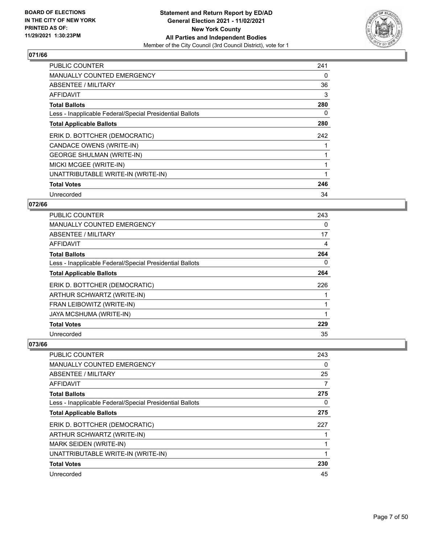

| <b>PUBLIC COUNTER</b>                                    | 241 |
|----------------------------------------------------------|-----|
| <b>MANUALLY COUNTED EMERGENCY</b>                        | 0   |
| ABSENTEE / MILITARY                                      | 36  |
| AFFIDAVIT                                                | 3   |
| <b>Total Ballots</b>                                     | 280 |
| Less - Inapplicable Federal/Special Presidential Ballots | 0   |
| <b>Total Applicable Ballots</b>                          | 280 |
| ERIK D. BOTTCHER (DEMOCRATIC)                            | 242 |
| CANDACE OWENS (WRITE-IN)                                 |     |
| <b>GEORGE SHULMAN (WRITE-IN)</b>                         |     |
| MICKI MCGEE (WRITE-IN)                                   |     |
| UNATTRIBUTABLE WRITE-IN (WRITE-IN)                       |     |
| <b>Total Votes</b>                                       | 246 |
| Unrecorded                                               | 34  |

# **072/66**

| PUBLIC COUNTER                                           | 243      |
|----------------------------------------------------------|----------|
| MANUALLY COUNTED EMERGENCY                               | 0        |
| ABSENTEE / MILITARY                                      | 17       |
| AFFIDAVIT                                                | 4        |
| <b>Total Ballots</b>                                     | 264      |
| Less - Inapplicable Federal/Special Presidential Ballots | $\Omega$ |
| <b>Total Applicable Ballots</b>                          | 264      |
| ERIK D. BOTTCHER (DEMOCRATIC)                            | 226      |
| ARTHUR SCHWARTZ (WRITE-IN)                               |          |
| FRAN LEIBOWITZ (WRITE-IN)                                |          |
| JAYA MCSHUMA (WRITE-IN)                                  | 1        |
| <b>Total Votes</b>                                       | 229      |
| Unrecorded                                               | 35       |

| PUBLIC COUNTER                                           | 243 |
|----------------------------------------------------------|-----|
| MANUALLY COUNTED EMERGENCY                               | 0   |
| ABSENTEE / MILITARY                                      | 25  |
| AFFIDAVIT                                                | 7   |
| <b>Total Ballots</b>                                     | 275 |
| Less - Inapplicable Federal/Special Presidential Ballots | 0   |
| <b>Total Applicable Ballots</b>                          | 275 |
| ERIK D. BOTTCHER (DEMOCRATIC)                            | 227 |
| ARTHUR SCHWARTZ (WRITE-IN)                               |     |
| MARK SEIDEN (WRITE-IN)                                   |     |
| UNATTRIBUTABLE WRITE-IN (WRITE-IN)                       |     |
| <b>Total Votes</b>                                       | 230 |
| Unrecorded                                               | 45  |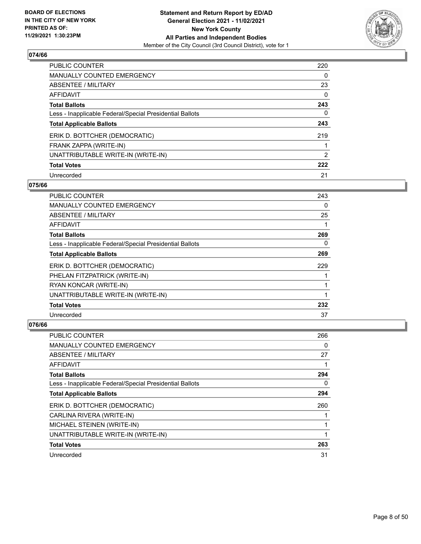

| <b>PUBLIC COUNTER</b>                                    | 220      |
|----------------------------------------------------------|----------|
| MANUALLY COUNTED EMERGENCY                               | 0        |
| ABSENTEE / MILITARY                                      | 23       |
| AFFIDAVIT                                                | $\Omega$ |
| <b>Total Ballots</b>                                     | 243      |
| Less - Inapplicable Federal/Special Presidential Ballots | 0        |
| <b>Total Applicable Ballots</b>                          | 243      |
| ERIK D. BOTTCHER (DEMOCRATIC)                            | 219      |
| FRANK ZAPPA (WRITE-IN)                                   |          |
| UNATTRIBUTABLE WRITE-IN (WRITE-IN)                       | 2        |
| <b>Total Votes</b>                                       | 222      |
| Unrecorded                                               | 21       |

#### **075/66**

| PUBLIC COUNTER                                           | 243 |
|----------------------------------------------------------|-----|
| MANUALLY COUNTED EMERGENCY                               | 0   |
| ABSENTEE / MILITARY                                      | 25  |
| AFFIDAVIT                                                |     |
| <b>Total Ballots</b>                                     | 269 |
| Less - Inapplicable Federal/Special Presidential Ballots | 0   |
| <b>Total Applicable Ballots</b>                          | 269 |
| ERIK D. BOTTCHER (DEMOCRATIC)                            | 229 |
| PHELAN FITZPATRICK (WRITE-IN)                            |     |
| RYAN KONCAR (WRITE-IN)                                   |     |
| UNATTRIBUTABLE WRITE-IN (WRITE-IN)                       |     |
| <b>Total Votes</b>                                       | 232 |
| Unrecorded                                               | 37  |

| PUBLIC COUNTER                                           | 266 |
|----------------------------------------------------------|-----|
| MANUALLY COUNTED EMERGENCY                               | 0   |
| ABSENTEE / MILITARY                                      | 27  |
| AFFIDAVIT                                                |     |
| <b>Total Ballots</b>                                     | 294 |
| Less - Inapplicable Federal/Special Presidential Ballots | 0   |
| <b>Total Applicable Ballots</b>                          | 294 |
| ERIK D. BOTTCHER (DEMOCRATIC)                            | 260 |
| CARLINA RIVERA (WRITE-IN)                                |     |
| MICHAEL STEINEN (WRITE-IN)                               |     |
| UNATTRIBUTABLE WRITE-IN (WRITE-IN)                       |     |
| <b>Total Votes</b>                                       | 263 |
| Unrecorded                                               | 31  |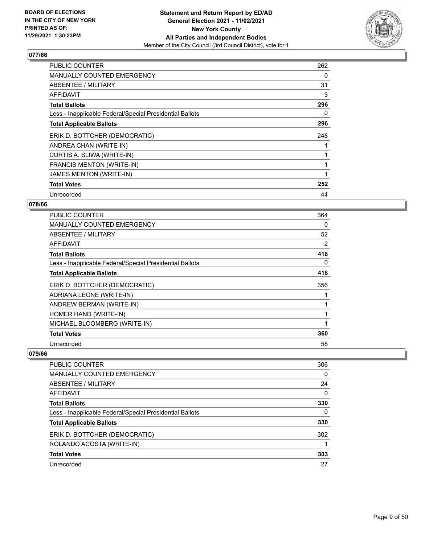

| <b>PUBLIC COUNTER</b>                                    | 262 |
|----------------------------------------------------------|-----|
| <b>MANUALLY COUNTED EMERGENCY</b>                        | 0   |
| <b>ABSENTEE / MILITARY</b>                               | 31  |
| <b>AFFIDAVIT</b>                                         | 3   |
| <b>Total Ballots</b>                                     | 296 |
| Less - Inapplicable Federal/Special Presidential Ballots | 0   |
| <b>Total Applicable Ballots</b>                          | 296 |
| ERIK D. BOTTCHER (DEMOCRATIC)                            | 248 |
| ANDREA CHAN (WRITE-IN)                                   |     |
| CURTIS A. SLIWA (WRITE-IN)                               |     |
| <b>FRANCIS MENTON (WRITE-IN)</b>                         |     |
| <b>JAMES MENTON (WRITE-IN)</b>                           |     |
| <b>Total Votes</b>                                       | 252 |
| Unrecorded                                               | 44  |

# **078/66**

| <b>PUBLIC COUNTER</b>                                    | 364      |
|----------------------------------------------------------|----------|
| MANUALLY COUNTED EMERGENCY                               | 0        |
| ABSENTEE / MILITARY                                      | 52       |
| AFFIDAVIT                                                | 2        |
| <b>Total Ballots</b>                                     | 418      |
| Less - Inapplicable Federal/Special Presidential Ballots | $\Omega$ |
| <b>Total Applicable Ballots</b>                          | 418      |
| ERIK D. BOTTCHER (DEMOCRATIC)                            | 356      |
| ADRIANA LEONE (WRITE-IN)                                 |          |
| ANDREW BERMAN (WRITE-IN)                                 |          |
| HOMER HAND (WRITE-IN)                                    | 1        |
| MICHAEL BLOOMBERG (WRITE-IN)                             |          |
| <b>Total Votes</b>                                       | 360      |
| Unrecorded                                               | 58       |

| <b>PUBLIC COUNTER</b>                                    | 306      |
|----------------------------------------------------------|----------|
| <b>MANUALLY COUNTED EMERGENCY</b>                        | 0        |
| ABSENTEE / MILITARY                                      | 24       |
| AFFIDAVIT                                                | $\Omega$ |
| <b>Total Ballots</b>                                     | 330      |
| Less - Inapplicable Federal/Special Presidential Ballots | 0        |
| <b>Total Applicable Ballots</b>                          | 330      |
| ERIK D. BOTTCHER (DEMOCRATIC)                            | 302      |
| ROLANDO ACOSTA (WRITE-IN)                                |          |
| <b>Total Votes</b>                                       | 303      |
| Unrecorded                                               | 27       |
|                                                          |          |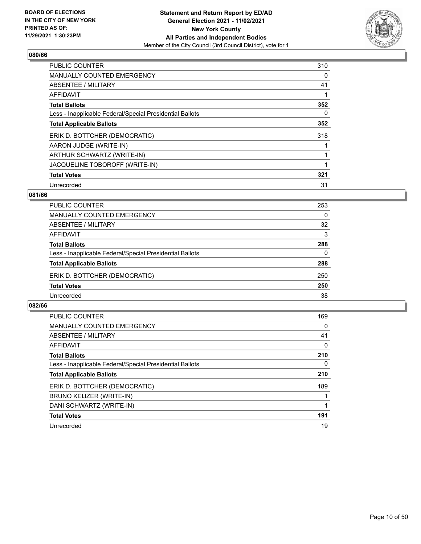

| <b>PUBLIC COUNTER</b>                                    | 310 |
|----------------------------------------------------------|-----|
| <b>MANUALLY COUNTED EMERGENCY</b>                        | 0   |
| ABSENTEE / MILITARY                                      | 41  |
| <b>AFFIDAVIT</b>                                         |     |
| <b>Total Ballots</b>                                     | 352 |
| Less - Inapplicable Federal/Special Presidential Ballots | 0   |
| <b>Total Applicable Ballots</b>                          | 352 |
| ERIK D. BOTTCHER (DEMOCRATIC)                            | 318 |
| AARON JUDGE (WRITE-IN)                                   |     |
| ARTHUR SCHWARTZ (WRITE-IN)                               |     |
| JACQUELINE TOBOROFF (WRITE-IN)                           |     |
| <b>Total Votes</b>                                       | 321 |
| Unrecorded                                               | 31  |

# **081/66**

| <b>PUBLIC COUNTER</b>                                    | 253      |
|----------------------------------------------------------|----------|
| MANUALLY COUNTED EMERGENCY                               | 0        |
| ABSENTEE / MILITARY                                      | 32       |
| AFFIDAVIT                                                | 3        |
| <b>Total Ballots</b>                                     | 288      |
| Less - Inapplicable Federal/Special Presidential Ballots | $\Omega$ |
| <b>Total Applicable Ballots</b>                          | 288      |
| ERIK D. BOTTCHER (DEMOCRATIC)                            | 250      |
| <b>Total Votes</b>                                       | 250      |
| Unrecorded                                               | 38       |

| PUBLIC COUNTER                                           | 169      |
|----------------------------------------------------------|----------|
| <b>MANUALLY COUNTED EMERGENCY</b>                        | 0        |
| ABSENTEE / MILITARY                                      | 41       |
| AFFIDAVIT                                                | $\Omega$ |
| <b>Total Ballots</b>                                     | 210      |
| Less - Inapplicable Federal/Special Presidential Ballots | $\Omega$ |
| <b>Total Applicable Ballots</b>                          | 210      |
| ERIK D. BOTTCHER (DEMOCRATIC)                            | 189      |
| BRUNO KEIJZER (WRITE-IN)                                 |          |
| DANI SCHWARTZ (WRITE-IN)                                 |          |
| <b>Total Votes</b>                                       | 191      |
| Unrecorded                                               | 19       |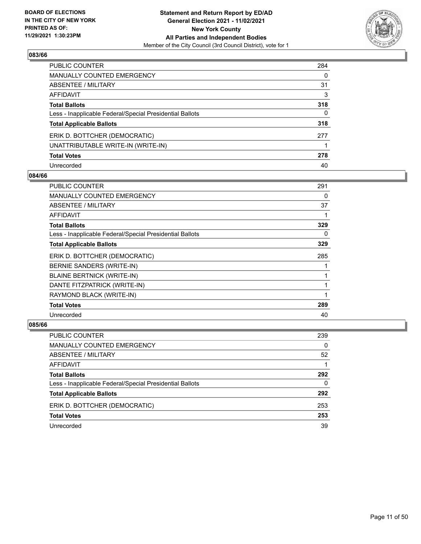

| PUBLIC COUNTER                                           | 284 |
|----------------------------------------------------------|-----|
| <b>MANUALLY COUNTED EMERGENCY</b>                        | 0   |
| ABSENTEE / MILITARY                                      | 31  |
| AFFIDAVIT                                                | 3   |
| <b>Total Ballots</b>                                     | 318 |
| Less - Inapplicable Federal/Special Presidential Ballots | 0   |
| <b>Total Applicable Ballots</b>                          | 318 |
| ERIK D. BOTTCHER (DEMOCRATIC)                            | 277 |
| UNATTRIBUTABLE WRITE-IN (WRITE-IN)                       |     |
| <b>Total Votes</b>                                       | 278 |
| Unrecorded                                               | 40  |

#### **084/66**

| <b>PUBLIC COUNTER</b>                                    | 291 |
|----------------------------------------------------------|-----|
| <b>MANUALLY COUNTED EMERGENCY</b>                        | 0   |
| ABSENTEE / MILITARY                                      | 37  |
| <b>AFFIDAVIT</b>                                         |     |
| <b>Total Ballots</b>                                     | 329 |
| Less - Inapplicable Federal/Special Presidential Ballots | 0   |
| <b>Total Applicable Ballots</b>                          | 329 |
| ERIK D. BOTTCHER (DEMOCRATIC)                            | 285 |
| BERNIE SANDERS (WRITE-IN)                                |     |
| <b>BLAINE BERTNICK (WRITE-IN)</b>                        |     |
| DANTE FITZPATRICK (WRITE-IN)                             |     |
| RAYMOND BLACK (WRITE-IN)                                 |     |
| <b>Total Votes</b>                                       | 289 |
| Unrecorded                                               | 40  |

| <b>PUBLIC COUNTER</b>                                    | 239      |
|----------------------------------------------------------|----------|
| <b>MANUALLY COUNTED EMERGENCY</b>                        | $\Omega$ |
| ABSENTEE / MILITARY                                      | 52       |
| AFFIDAVIT                                                |          |
| <b>Total Ballots</b>                                     | 292      |
| Less - Inapplicable Federal/Special Presidential Ballots | $\Omega$ |
| <b>Total Applicable Ballots</b>                          | 292      |
| ERIK D. BOTTCHER (DEMOCRATIC)                            | 253      |
| <b>Total Votes</b>                                       | 253      |
| Unrecorded                                               | 39       |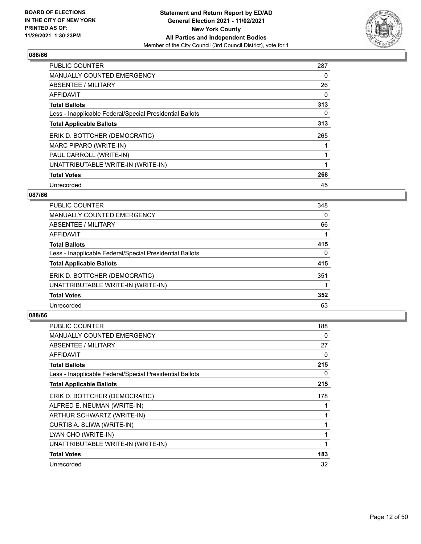

| <b>PUBLIC COUNTER</b>                                    | 287 |
|----------------------------------------------------------|-----|
| <b>MANUALLY COUNTED EMERGENCY</b>                        | 0   |
| ABSENTEE / MILITARY                                      | 26  |
| <b>AFFIDAVIT</b>                                         | 0   |
| <b>Total Ballots</b>                                     | 313 |
| Less - Inapplicable Federal/Special Presidential Ballots | 0   |
| <b>Total Applicable Ballots</b>                          | 313 |
| ERIK D. BOTTCHER (DEMOCRATIC)                            | 265 |
| MARC PIPARO (WRITE-IN)                                   |     |
| PAUL CARROLL (WRITE-IN)                                  |     |
| UNATTRIBUTABLE WRITE-IN (WRITE-IN)                       |     |
| <b>Total Votes</b>                                       | 268 |
| Unrecorded                                               | 45  |

# **087/66**

| <b>PUBLIC COUNTER</b>                                    | 348      |
|----------------------------------------------------------|----------|
| <b>MANUALLY COUNTED EMERGENCY</b>                        | $\Omega$ |
| ABSENTEE / MILITARY                                      | 66       |
| AFFIDAVIT                                                |          |
| <b>Total Ballots</b>                                     | 415      |
| Less - Inapplicable Federal/Special Presidential Ballots | $\Omega$ |
| <b>Total Applicable Ballots</b>                          | 415      |
| ERIK D. BOTTCHER (DEMOCRATIC)                            | 351      |
| UNATTRIBUTABLE WRITE-IN (WRITE-IN)                       |          |
| <b>Total Votes</b>                                       | 352      |
| Unrecorded                                               | 63       |
|                                                          |          |

| <b>PUBLIC COUNTER</b>                                    | 188 |
|----------------------------------------------------------|-----|
| <b>MANUALLY COUNTED EMERGENCY</b>                        | 0   |
| ABSENTEE / MILITARY                                      | 27  |
| <b>AFFIDAVIT</b>                                         | 0   |
| <b>Total Ballots</b>                                     | 215 |
| Less - Inapplicable Federal/Special Presidential Ballots | 0   |
| <b>Total Applicable Ballots</b>                          | 215 |
| ERIK D. BOTTCHER (DEMOCRATIC)                            | 178 |
| ALFRED E. NEUMAN (WRITE-IN)                              |     |
| ARTHUR SCHWARTZ (WRITE-IN)                               |     |
| CURTIS A. SLIWA (WRITE-IN)                               | 1   |
| LYAN CHO (WRITE-IN)                                      | 1   |
| UNATTRIBUTABLE WRITE-IN (WRITE-IN)                       | 1   |
| <b>Total Votes</b>                                       | 183 |
| Unrecorded                                               | 32  |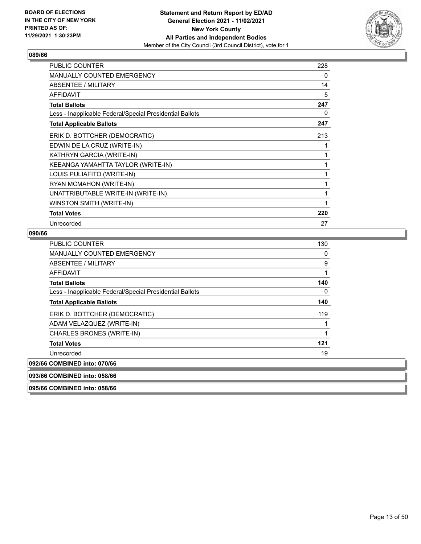

| <b>PUBLIC COUNTER</b>                                    | 228 |
|----------------------------------------------------------|-----|
| MANUALLY COUNTED EMERGENCY                               | 0   |
| <b>ABSENTEE / MILITARY</b>                               | 14  |
| <b>AFFIDAVIT</b>                                         | 5   |
| <b>Total Ballots</b>                                     | 247 |
| Less - Inapplicable Federal/Special Presidential Ballots | 0   |
| <b>Total Applicable Ballots</b>                          | 247 |
| ERIK D. BOTTCHER (DEMOCRATIC)                            | 213 |
| EDWIN DE LA CRUZ (WRITE-IN)                              | 1   |
| KATHRYN GARCIA (WRITE-IN)                                | 1   |
| KEEANGA YAMAHTTA TAYLOR (WRITE-IN)                       | 1   |
| LOUIS PULIAFITO (WRITE-IN)                               | 1   |
| RYAN MCMAHON (WRITE-IN)                                  | 1   |
| UNATTRIBUTABLE WRITE-IN (WRITE-IN)                       | 1   |
| WINSTON SMITH (WRITE-IN)                                 | 1   |
| <b>Total Votes</b>                                       | 220 |
| Unrecorded                                               | 27  |

#### **090/66**

| <b>PUBLIC COUNTER</b>                                    | 130 |
|----------------------------------------------------------|-----|
| <b>MANUALLY COUNTED EMERGENCY</b>                        | 0   |
| ABSENTEE / MILITARY                                      | 9   |
| AFFIDAVIT                                                |     |
| <b>Total Ballots</b>                                     | 140 |
| Less - Inapplicable Federal/Special Presidential Ballots | 0   |
| <b>Total Applicable Ballots</b>                          | 140 |
| ERIK D. BOTTCHER (DEMOCRATIC)                            | 119 |
| ADAM VELAZQUEZ (WRITE-IN)                                |     |
| CHARLES BRONES (WRITE-IN)                                | 1   |
| <b>Total Votes</b>                                       | 121 |
| Unrecorded                                               | 19  |
| 092/66 COMBINED into: 070/66                             |     |
| 093/66 COMBINED into: 058/66                             |     |

**095/66 COMBINED into: 058/66**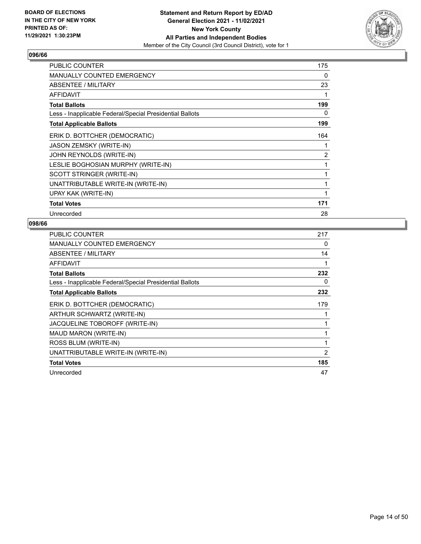

| <b>PUBLIC COUNTER</b>                                    | 175            |
|----------------------------------------------------------|----------------|
| <b>MANUALLY COUNTED EMERGENCY</b>                        | 0              |
| <b>ABSENTEE / MILITARY</b>                               | 23             |
| <b>AFFIDAVIT</b>                                         |                |
| <b>Total Ballots</b>                                     | 199            |
| Less - Inapplicable Federal/Special Presidential Ballots | 0              |
| <b>Total Applicable Ballots</b>                          | 199            |
| ERIK D. BOTTCHER (DEMOCRATIC)                            | 164            |
| <b>JASON ZEMSKY (WRITE-IN)</b>                           |                |
| JOHN REYNOLDS (WRITE-IN)                                 | $\overline{2}$ |
| LESLIE BOGHOSIAN MURPHY (WRITE-IN)                       |                |
| SCOTT STRINGER (WRITE-IN)                                | 1              |
| UNATTRIBUTABLE WRITE-IN (WRITE-IN)                       | 1              |
| UPAY KAK (WRITE-IN)                                      | 1              |
| <b>Total Votes</b>                                       | 171            |
| Unrecorded                                               | 28             |

| <b>PUBLIC COUNTER</b>                                    | 217            |
|----------------------------------------------------------|----------------|
| MANUALLY COUNTED EMERGENCY                               | 0              |
| ABSENTEE / MILITARY                                      | 14             |
| AFFIDAVIT                                                | 1              |
| <b>Total Ballots</b>                                     | 232            |
| Less - Inapplicable Federal/Special Presidential Ballots | 0              |
| <b>Total Applicable Ballots</b>                          | 232            |
| ERIK D. BOTTCHER (DEMOCRATIC)                            | 179            |
| ARTHUR SCHWARTZ (WRITE-IN)                               |                |
| JACQUELINE TOBOROFF (WRITE-IN)                           | 1              |
| MAUD MARON (WRITE-IN)                                    | 1              |
| ROSS BLUM (WRITE-IN)                                     | 1              |
| UNATTRIBUTABLE WRITE-IN (WRITE-IN)                       | $\overline{2}$ |
| <b>Total Votes</b>                                       | 185            |
| Unrecorded                                               | 47             |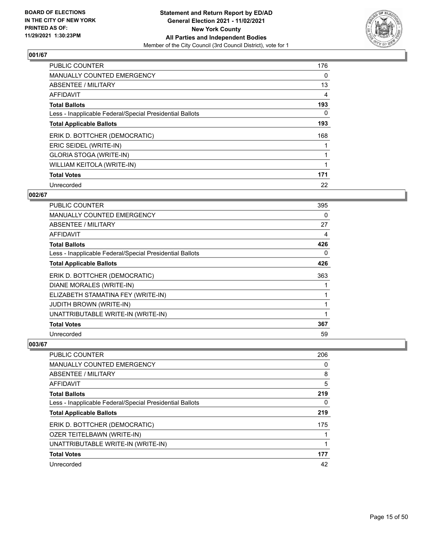

| <b>PUBLIC COUNTER</b>                                    | 176 |
|----------------------------------------------------------|-----|
| <b>MANUALLY COUNTED EMERGENCY</b>                        | 0   |
| ABSENTEE / MILITARY                                      | 13  |
| AFFIDAVIT                                                | 4   |
| <b>Total Ballots</b>                                     | 193 |
| Less - Inapplicable Federal/Special Presidential Ballots | 0   |
| <b>Total Applicable Ballots</b>                          | 193 |
| ERIK D. BOTTCHER (DEMOCRATIC)                            | 168 |
| ERIC SEIDEL (WRITE-IN)                                   |     |
| GLORIA STOGA (WRITE-IN)                                  |     |
| WILLIAM KEITOLA (WRITE-IN)                               |     |
| <b>Total Votes</b>                                       | 171 |
| Unrecorded                                               | 22  |

# **002/67**

| <b>PUBLIC COUNTER</b>                                    | 395 |
|----------------------------------------------------------|-----|
| <b>MANUALLY COUNTED EMERGENCY</b>                        | 0   |
| ABSENTEE / MILITARY                                      | 27  |
| AFFIDAVIT                                                | 4   |
| <b>Total Ballots</b>                                     | 426 |
| Less - Inapplicable Federal/Special Presidential Ballots | 0   |
| <b>Total Applicable Ballots</b>                          | 426 |
| ERIK D. BOTTCHER (DEMOCRATIC)                            | 363 |
| DIANE MORALES (WRITE-IN)                                 |     |
| ELIZABETH STAMATINA FEY (WRITE-IN)                       |     |
| <b>JUDITH BROWN (WRITE-IN)</b>                           | 1   |
| UNATTRIBUTABLE WRITE-IN (WRITE-IN)                       |     |
| <b>Total Votes</b>                                       | 367 |
| Unrecorded                                               | 59  |

| <b>PUBLIC COUNTER</b>                                    | 206 |
|----------------------------------------------------------|-----|
| <b>MANUALLY COUNTED EMERGENCY</b>                        | 0   |
| <b>ABSENTEE / MILITARY</b>                               | 8   |
| AFFIDAVIT                                                | 5   |
| <b>Total Ballots</b>                                     | 219 |
| Less - Inapplicable Federal/Special Presidential Ballots | 0   |
| <b>Total Applicable Ballots</b>                          | 219 |
| ERIK D. BOTTCHER (DEMOCRATIC)                            | 175 |
| OZER TEITELBAWN (WRITE-IN)                               |     |
| UNATTRIBUTABLE WRITE-IN (WRITE-IN)                       |     |
| <b>Total Votes</b>                                       | 177 |
| Unrecorded                                               | 42  |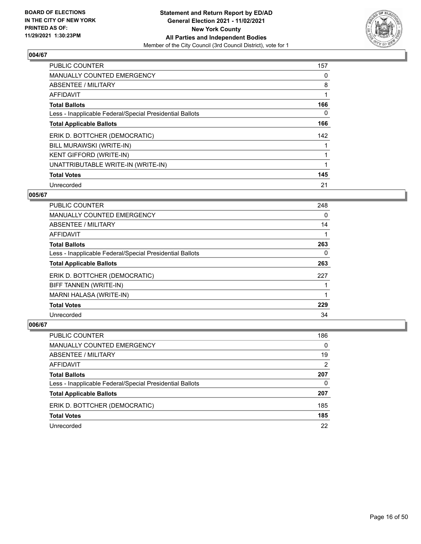

| <b>PUBLIC COUNTER</b>                                    | 157 |
|----------------------------------------------------------|-----|
| <b>MANUALLY COUNTED EMERGENCY</b>                        | 0   |
| ABSENTEE / MILITARY                                      | 8   |
| <b>AFFIDAVIT</b>                                         |     |
| <b>Total Ballots</b>                                     | 166 |
| Less - Inapplicable Federal/Special Presidential Ballots | 0   |
| <b>Total Applicable Ballots</b>                          | 166 |
| ERIK D. BOTTCHER (DEMOCRATIC)                            | 142 |
| BILL MURAWSKI (WRITE-IN)                                 |     |
| KENT GIFFORD (WRITE-IN)                                  |     |
| UNATTRIBUTABLE WRITE-IN (WRITE-IN)                       |     |
| <b>Total Votes</b>                                       | 145 |
| Unrecorded                                               | 21  |

# **005/67**

| <b>PUBLIC COUNTER</b>                                    | 248 |
|----------------------------------------------------------|-----|
| <b>MANUALLY COUNTED EMERGENCY</b>                        | 0   |
| ABSENTEE / MILITARY                                      | 14  |
| <b>AFFIDAVIT</b>                                         |     |
| <b>Total Ballots</b>                                     | 263 |
| Less - Inapplicable Federal/Special Presidential Ballots | 0   |
| <b>Total Applicable Ballots</b>                          | 263 |
| ERIK D. BOTTCHER (DEMOCRATIC)                            | 227 |
| BIFF TANNEN (WRITE-IN)                                   |     |
| MARNI HALASA (WRITE-IN)                                  |     |
| <b>Total Votes</b>                                       | 229 |
| Unrecorded                                               | 34  |

| PUBLIC COUNTER                                           | 186      |
|----------------------------------------------------------|----------|
| MANUALLY COUNTED EMERGENCY                               | $\Omega$ |
| ABSENTEE / MILITARY                                      | 19       |
| AFFIDAVIT                                                | 2        |
| <b>Total Ballots</b>                                     | 207      |
| Less - Inapplicable Federal/Special Presidential Ballots | 0        |
| <b>Total Applicable Ballots</b>                          | 207      |
| ERIK D. BOTTCHER (DEMOCRATIC)                            | 185      |
| <b>Total Votes</b>                                       | 185      |
| Unrecorded                                               | 22       |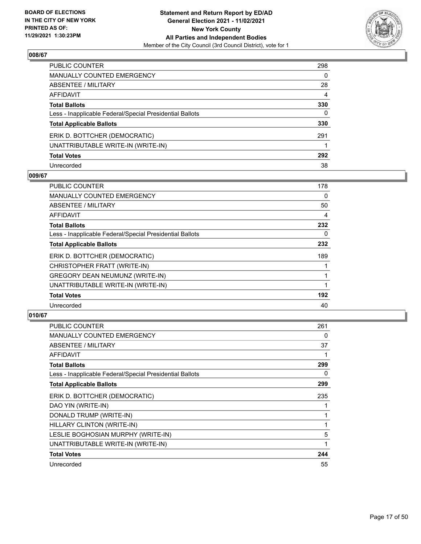

| PUBLIC COUNTER                                           | 298 |
|----------------------------------------------------------|-----|
| MANUALLY COUNTED EMERGENCY                               | 0   |
| ABSENTEE / MILITARY                                      | 28  |
| AFFIDAVIT                                                | 4   |
| Total Ballots                                            | 330 |
| Less - Inapplicable Federal/Special Presidential Ballots | 0   |
| <b>Total Applicable Ballots</b>                          | 330 |
| ERIK D. BOTTCHER (DEMOCRATIC)                            | 291 |
| UNATTRIBUTABLE WRITE-IN (WRITE-IN)                       |     |
| <b>Total Votes</b>                                       | 292 |
| Unrecorded                                               | 38  |

#### **009/67**

| PUBLIC COUNTER                                           | 178 |
|----------------------------------------------------------|-----|
| <b>MANUALLY COUNTED EMERGENCY</b>                        | 0   |
| ABSENTEE / MILITARY                                      | 50  |
| AFFIDAVIT                                                | 4   |
| <b>Total Ballots</b>                                     | 232 |
| Less - Inapplicable Federal/Special Presidential Ballots | 0   |
| <b>Total Applicable Ballots</b>                          | 232 |
| ERIK D. BOTTCHER (DEMOCRATIC)                            | 189 |
| CHRISTOPHER FRATT (WRITE-IN)                             |     |
| GREGORY DEAN NEUMUNZ (WRITE-IN)                          |     |
| UNATTRIBUTABLE WRITE-IN (WRITE-IN)                       |     |
| <b>Total Votes</b>                                       | 192 |
| Unrecorded                                               | 40  |

| <b>PUBLIC COUNTER</b>                                    | 261 |
|----------------------------------------------------------|-----|
| MANUALLY COUNTED EMERGENCY                               | 0   |
| ABSENTEE / MILITARY                                      | 37  |
| AFFIDAVIT                                                | 1   |
| <b>Total Ballots</b>                                     | 299 |
| Less - Inapplicable Federal/Special Presidential Ballots | 0   |
| <b>Total Applicable Ballots</b>                          | 299 |
| ERIK D. BOTTCHER (DEMOCRATIC)                            | 235 |
| DAO YIN (WRITE-IN)                                       |     |
| DONALD TRUMP (WRITE-IN)                                  | 1   |
| HILLARY CLINTON (WRITE-IN)                               | 1   |
| LESLIE BOGHOSIAN MURPHY (WRITE-IN)                       | 5   |
| UNATTRIBUTABLE WRITE-IN (WRITE-IN)                       | 1   |
| <b>Total Votes</b>                                       | 244 |
| Unrecorded                                               | 55  |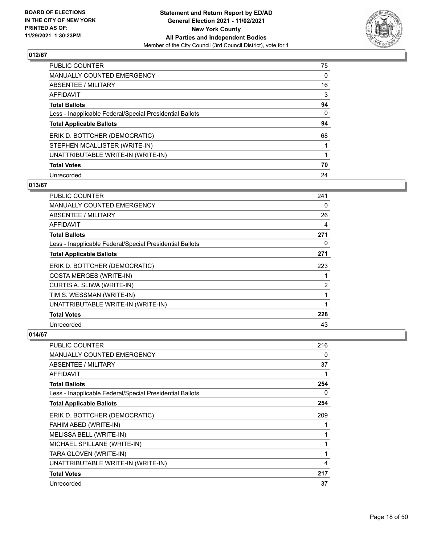

| PUBLIC COUNTER                                           | 75       |
|----------------------------------------------------------|----------|
| MANUALLY COUNTED EMERGENCY                               | 0        |
| ABSENTEE / MILITARY                                      | 16       |
| <b>AFFIDAVIT</b>                                         | 3        |
| <b>Total Ballots</b>                                     | 94       |
| Less - Inapplicable Federal/Special Presidential Ballots | $\Omega$ |
| <b>Total Applicable Ballots</b>                          | 94       |
| ERIK D. BOTTCHER (DEMOCRATIC)                            | 68       |
| STEPHEN MCALLISTER (WRITE-IN)                            |          |
| UNATTRIBUTABLE WRITE-IN (WRITE-IN)                       |          |
| <b>Total Votes</b>                                       | 70       |
| Unrecorded                                               | 24       |

# **013/67**

| <b>PUBLIC COUNTER</b>                                    | 241 |
|----------------------------------------------------------|-----|
| MANUALLY COUNTED EMERGENCY                               | 0   |
| ABSENTEE / MILITARY                                      | 26  |
| AFFIDAVIT                                                | 4   |
| <b>Total Ballots</b>                                     | 271 |
| Less - Inapplicable Federal/Special Presidential Ballots | 0   |
| <b>Total Applicable Ballots</b>                          | 271 |
| ERIK D. BOTTCHER (DEMOCRATIC)                            | 223 |
| <b>COSTA MERGES (WRITE-IN)</b>                           | 1   |
| CURTIS A. SLIWA (WRITE-IN)                               | 2   |
| TIM S. WESSMAN (WRITE-IN)                                | 1   |
| UNATTRIBUTABLE WRITE-IN (WRITE-IN)                       | 1   |
| <b>Total Votes</b>                                       | 228 |
| Unrecorded                                               | 43  |

| <b>PUBLIC COUNTER</b>                                    | 216 |
|----------------------------------------------------------|-----|
| MANUALLY COUNTED EMERGENCY                               | 0   |
| <b>ABSENTEE / MILITARY</b>                               | 37  |
| <b>AFFIDAVIT</b>                                         | 1   |
| <b>Total Ballots</b>                                     | 254 |
| Less - Inapplicable Federal/Special Presidential Ballots | 0   |
| <b>Total Applicable Ballots</b>                          | 254 |
| ERIK D. BOTTCHER (DEMOCRATIC)                            | 209 |
| FAHIM ABED (WRITE-IN)                                    | 1   |
| MELISSA BELL (WRITE-IN)                                  | 1   |
| MICHAEL SPILLANE (WRITE-IN)                              | 1   |
| TARA GLOVEN (WRITE-IN)                                   | 1   |
| UNATTRIBUTABLE WRITE-IN (WRITE-IN)                       | 4   |
| <b>Total Votes</b>                                       | 217 |
| Unrecorded                                               | 37  |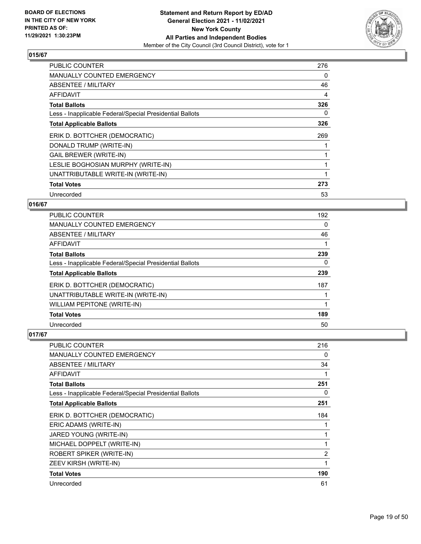

| <b>PUBLIC COUNTER</b>                                    | 276 |
|----------------------------------------------------------|-----|
| <b>MANUALLY COUNTED EMERGENCY</b>                        | 0   |
| <b>ABSENTEE / MILITARY</b>                               | 46  |
| AFFIDAVIT                                                | 4   |
| <b>Total Ballots</b>                                     | 326 |
| Less - Inapplicable Federal/Special Presidential Ballots | 0   |
| <b>Total Applicable Ballots</b>                          | 326 |
| ERIK D. BOTTCHER (DEMOCRATIC)                            | 269 |
| DONALD TRUMP (WRITE-IN)                                  |     |
| <b>GAIL BREWER (WRITE-IN)</b>                            |     |
| LESLIE BOGHOSIAN MURPHY (WRITE-IN)                       |     |
| UNATTRIBUTABLE WRITE-IN (WRITE-IN)                       |     |
| <b>Total Votes</b>                                       | 273 |
| Unrecorded                                               | 53  |

# **016/67**

| PUBLIC COUNTER                                           | 192 |
|----------------------------------------------------------|-----|
| MANUALLY COUNTED EMERGENCY                               | 0   |
| ABSENTEE / MILITARY                                      | 46  |
| AFFIDAVIT                                                |     |
| <b>Total Ballots</b>                                     | 239 |
| Less - Inapplicable Federal/Special Presidential Ballots | 0   |
| <b>Total Applicable Ballots</b>                          | 239 |
| ERIK D. BOTTCHER (DEMOCRATIC)                            | 187 |
| UNATTRIBUTABLE WRITE-IN (WRITE-IN)                       |     |
| <b>WILLIAM PEPITONE (WRITE-IN)</b>                       |     |
| <b>Total Votes</b>                                       | 189 |
| Unrecorded                                               | 50  |

| PUBLIC COUNTER                                           | 216            |
|----------------------------------------------------------|----------------|
| <b>MANUALLY COUNTED EMERGENCY</b>                        | 0              |
| ABSENTEE / MILITARY                                      | 34             |
| AFFIDAVIT                                                | 1              |
| <b>Total Ballots</b>                                     | 251            |
| Less - Inapplicable Federal/Special Presidential Ballots | 0              |
| <b>Total Applicable Ballots</b>                          | 251            |
| ERIK D. BOTTCHER (DEMOCRATIC)                            | 184            |
| ERIC ADAMS (WRITE-IN)                                    | 1              |
| JARED YOUNG (WRITE-IN)                                   | 1              |
| MICHAEL DOPPELT (WRITE-IN)                               | 1              |
| <b>ROBERT SPIKER (WRITE-IN)</b>                          | $\overline{2}$ |
| ZEEV KIRSH (WRITE-IN)                                    | 1              |
| <b>Total Votes</b>                                       | 190            |
| Unrecorded                                               | 61             |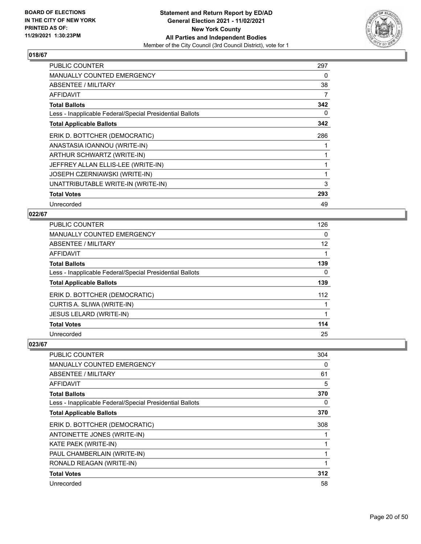

| <b>PUBLIC COUNTER</b>                                    | 297 |
|----------------------------------------------------------|-----|
| MANUALLY COUNTED EMERGENCY                               | 0   |
| ABSENTEE / MILITARY                                      | 38  |
| <b>AFFIDAVIT</b>                                         | 7   |
| <b>Total Ballots</b>                                     | 342 |
| Less - Inapplicable Federal/Special Presidential Ballots | 0   |
| <b>Total Applicable Ballots</b>                          | 342 |
| ERIK D. BOTTCHER (DEMOCRATIC)                            | 286 |
| ANASTASIA IOANNOU (WRITE-IN)                             |     |
| ARTHUR SCHWARTZ (WRITE-IN)                               |     |
| JEFFREY ALLAN ELLIS-LEE (WRITE-IN)                       |     |
| JOSEPH CZERNIAWSKI (WRITE-IN)                            |     |
| UNATTRIBUTABLE WRITE-IN (WRITE-IN)                       | 3   |
| <b>Total Votes</b>                                       | 293 |
| Unrecorded                                               | 49  |

# **022/67**

| PUBLIC COUNTER                                           | 126             |
|----------------------------------------------------------|-----------------|
| MANUALLY COUNTED EMERGENCY                               | 0               |
| ABSENTEE / MILITARY                                      | 12 <sup>°</sup> |
| AFFIDAVIT                                                | 1               |
| <b>Total Ballots</b>                                     | 139             |
| Less - Inapplicable Federal/Special Presidential Ballots | 0               |
| <b>Total Applicable Ballots</b>                          | 139             |
| ERIK D. BOTTCHER (DEMOCRATIC)                            | 112             |
| CURTIS A. SLIWA (WRITE-IN)                               |                 |
| <b>JESUS LELARD (WRITE-IN)</b>                           | 1               |
| <b>Total Votes</b>                                       | 114             |
| Unrecorded                                               | 25              |

| <b>PUBLIC COUNTER</b>                                    | 304 |
|----------------------------------------------------------|-----|
| <b>MANUALLY COUNTED EMERGENCY</b>                        | 0   |
| ABSENTEE / MILITARY                                      | 61  |
| AFFIDAVIT                                                | 5   |
| <b>Total Ballots</b>                                     | 370 |
| Less - Inapplicable Federal/Special Presidential Ballots | 0   |
| <b>Total Applicable Ballots</b>                          | 370 |
| ERIK D. BOTTCHER (DEMOCRATIC)                            | 308 |
| ANTOINETTE JONES (WRITE-IN)                              |     |
| KATE PAEK (WRITE-IN)                                     |     |
| PAUL CHAMBERLAIN (WRITE-IN)                              |     |
| RONALD REAGAN (WRITE-IN)                                 |     |
| <b>Total Votes</b>                                       | 312 |
| Unrecorded                                               | 58  |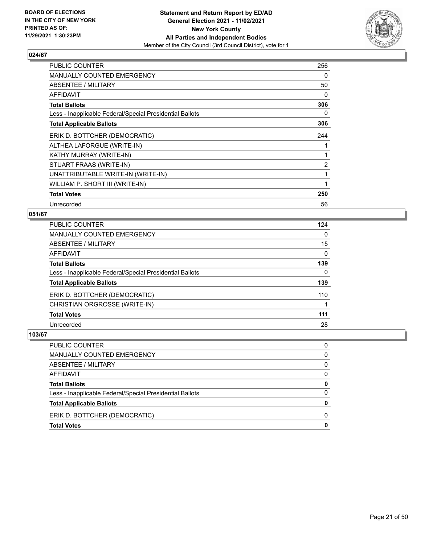

| <b>PUBLIC COUNTER</b>                                    | 256            |
|----------------------------------------------------------|----------------|
| MANUALLY COUNTED EMERGENCY                               | 0              |
| ABSENTEE / MILITARY                                      | 50             |
| AFFIDAVIT                                                | $\Omega$       |
| <b>Total Ballots</b>                                     | 306            |
| Less - Inapplicable Federal/Special Presidential Ballots | 0              |
| <b>Total Applicable Ballots</b>                          | 306            |
| ERIK D. BOTTCHER (DEMOCRATIC)                            | 244            |
| ALTHEA LAFORGUE (WRITE-IN)                               |                |
| KATHY MURRAY (WRITE-IN)                                  | 1              |
| STUART FRAAS (WRITE-IN)                                  | $\overline{2}$ |
| UNATTRIBUTABLE WRITE-IN (WRITE-IN)                       | 1              |
| WILLIAM P. SHORT III (WRITE-IN)                          | 1              |
| <b>Total Votes</b>                                       | 250            |
| Unrecorded                                               | 56             |

# **051/67**

| PUBLIC COUNTER                                           | 124      |
|----------------------------------------------------------|----------|
| <b>MANUALLY COUNTED EMERGENCY</b>                        | $\Omega$ |
| <b>ABSENTEE / MILITARY</b>                               | 15       |
| <b>AFFIDAVIT</b>                                         | $\Omega$ |
| <b>Total Ballots</b>                                     | 139      |
| Less - Inapplicable Federal/Special Presidential Ballots | $\Omega$ |
| <b>Total Applicable Ballots</b>                          | 139      |
| ERIK D. BOTTCHER (DEMOCRATIC)                            | 110      |
| CHRISTIAN ORGROSSE (WRITE-IN)                            |          |
| <b>Total Votes</b>                                       | 111      |
| Unrecorded                                               | 28       |
|                                                          |          |

| PUBLIC COUNTER                                           | 0            |
|----------------------------------------------------------|--------------|
| MANUALLY COUNTED EMERGENCY                               | $\Omega$     |
| <b>ABSENTEE / MILITARY</b>                               | $\Omega$     |
| <b>AFFIDAVIT</b>                                         | $\Omega$     |
| <b>Total Ballots</b>                                     | $\mathbf{0}$ |
| Less - Inapplicable Federal/Special Presidential Ballots | $\Omega$     |
| <b>Total Applicable Ballots</b>                          | 0            |
| ERIK D. BOTTCHER (DEMOCRATIC)                            | 0            |
| <b>Total Votes</b>                                       | $\mathbf 0$  |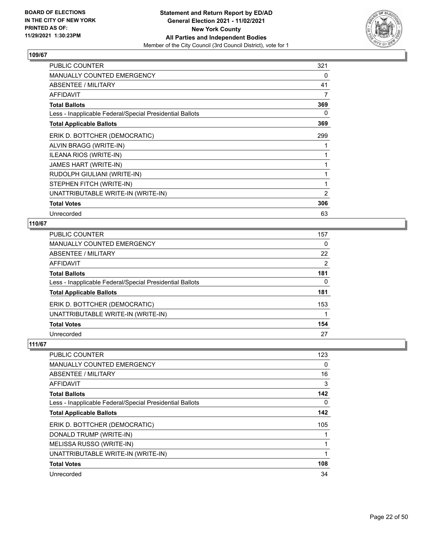

| PUBLIC COUNTER                                           | 321 |
|----------------------------------------------------------|-----|
| MANUALLY COUNTED EMERGENCY                               | 0   |
| ABSENTEE / MILITARY                                      | 41  |
| <b>AFFIDAVIT</b>                                         | 7   |
| <b>Total Ballots</b>                                     | 369 |
| Less - Inapplicable Federal/Special Presidential Ballots | 0   |
| <b>Total Applicable Ballots</b>                          | 369 |
| ERIK D. BOTTCHER (DEMOCRATIC)                            | 299 |
| ALVIN BRAGG (WRITE-IN)                                   |     |
| ILEANA RIOS (WRITE-IN)                                   |     |
| JAMES HART (WRITE-IN)                                    |     |
| RUDOLPH GIULIANI (WRITE-IN)                              | 1   |
| STEPHEN FITCH (WRITE-IN)                                 | 1   |
| UNATTRIBUTABLE WRITE-IN (WRITE-IN)                       | 2   |
| <b>Total Votes</b>                                       | 306 |
| Unrecorded                                               | 63  |

# **110/67**

| PUBLIC COUNTER                                           | 157 |
|----------------------------------------------------------|-----|
| <b>MANUALLY COUNTED EMERGENCY</b>                        | 0   |
| ABSENTEE / MILITARY                                      | 22  |
| AFFIDAVIT                                                | 2   |
| <b>Total Ballots</b>                                     | 181 |
| Less - Inapplicable Federal/Special Presidential Ballots | 0   |
| <b>Total Applicable Ballots</b>                          | 181 |
| ERIK D. BOTTCHER (DEMOCRATIC)                            | 153 |
| UNATTRIBUTABLE WRITE-IN (WRITE-IN)                       |     |
| <b>Total Votes</b>                                       | 154 |
| Unrecorded                                               | 27  |

| PUBLIC COUNTER                                           | 123      |
|----------------------------------------------------------|----------|
| MANUALLY COUNTED EMERGENCY                               | $\Omega$ |
| ABSENTEE / MILITARY                                      | 16       |
| AFFIDAVIT                                                | 3        |
| <b>Total Ballots</b>                                     | 142      |
| Less - Inapplicable Federal/Special Presidential Ballots | 0        |
| <b>Total Applicable Ballots</b>                          | 142      |
| ERIK D. BOTTCHER (DEMOCRATIC)                            | 105      |
| DONALD TRUMP (WRITE-IN)                                  |          |
| MELISSA RUSSO (WRITE-IN)                                 |          |
| UNATTRIBUTABLE WRITE-IN (WRITE-IN)                       |          |
| <b>Total Votes</b>                                       | 108      |
| Unrecorded                                               | 34       |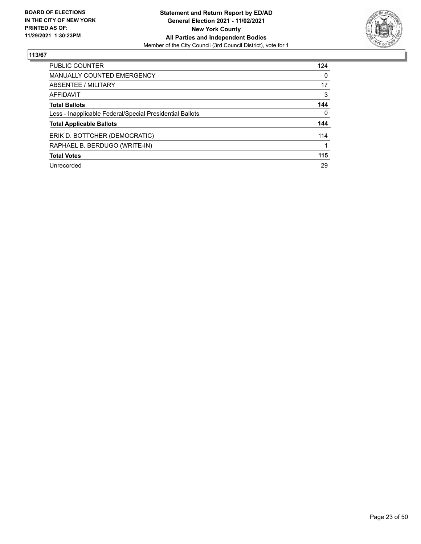

| <b>PUBLIC COUNTER</b>                                    | 124      |
|----------------------------------------------------------|----------|
| <b>MANUALLY COUNTED EMERGENCY</b>                        | $\Omega$ |
| ABSENTEE / MILITARY                                      | 17       |
| AFFIDAVIT                                                | 3        |
| <b>Total Ballots</b>                                     | 144      |
| Less - Inapplicable Federal/Special Presidential Ballots | $\Omega$ |
| <b>Total Applicable Ballots</b>                          | 144      |
| ERIK D. BOTTCHER (DEMOCRATIC)                            | 114      |
| RAPHAEL B. BERDUGO (WRITE-IN)                            |          |
| <b>Total Votes</b>                                       | 115      |
| Unrecorded                                               | 29       |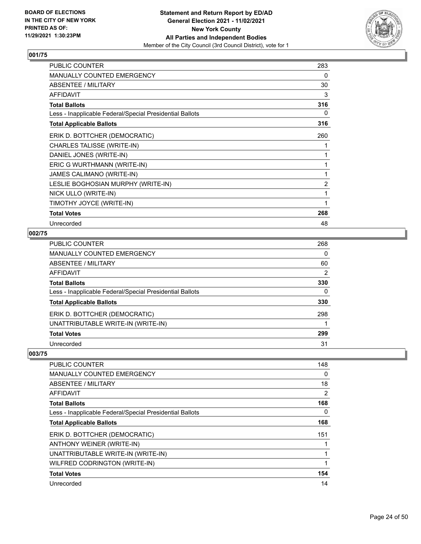

| <b>PUBLIC COUNTER</b>                                    | 283 |
|----------------------------------------------------------|-----|
| MANUALLY COUNTED EMERGENCY                               | 0   |
| ABSENTEE / MILITARY                                      | 30  |
| <b>AFFIDAVIT</b>                                         | 3   |
| <b>Total Ballots</b>                                     | 316 |
| Less - Inapplicable Federal/Special Presidential Ballots | 0   |
| <b>Total Applicable Ballots</b>                          | 316 |
| ERIK D. BOTTCHER (DEMOCRATIC)                            | 260 |
| CHARLES TALISSE (WRITE-IN)                               | 1   |
| DANIEL JONES (WRITE-IN)                                  | 1   |
| ERIC G WURTHMANN (WRITE-IN)                              | 1   |
| JAMES CALIMANO (WRITE-IN)                                | 1   |
| LESLIE BOGHOSIAN MURPHY (WRITE-IN)                       | 2   |
| NICK ULLO (WRITE-IN)                                     | 1   |
| TIMOTHY JOYCE (WRITE-IN)                                 | 1   |
| <b>Total Votes</b>                                       | 268 |
| Unrecorded                                               | 48  |

# **002/75**

| PUBLIC COUNTER                                           | 268            |
|----------------------------------------------------------|----------------|
| MANUALLY COUNTED EMERGENCY                               | 0              |
| ABSENTEE / MILITARY                                      | 60             |
| AFFIDAVIT                                                | $\overline{2}$ |
| <b>Total Ballots</b>                                     | 330            |
| Less - Inapplicable Federal/Special Presidential Ballots | 0              |
| <b>Total Applicable Ballots</b>                          | 330            |
| ERIK D. BOTTCHER (DEMOCRATIC)                            | 298            |
| UNATTRIBUTABLE WRITE-IN (WRITE-IN)                       |                |
| <b>Total Votes</b>                                       | 299            |
| Unrecorded                                               | 31             |

| <b>PUBLIC COUNTER</b>                                    | 148      |
|----------------------------------------------------------|----------|
| <b>MANUALLY COUNTED EMERGENCY</b>                        | 0        |
| ABSENTEE / MILITARY                                      | 18       |
| AFFIDAVIT                                                | 2        |
| <b>Total Ballots</b>                                     | 168      |
| Less - Inapplicable Federal/Special Presidential Ballots | $\Omega$ |
| <b>Total Applicable Ballots</b>                          | 168      |
| ERIK D. BOTTCHER (DEMOCRATIC)                            | 151      |
| ANTHONY WEINER (WRITE-IN)                                |          |
| UNATTRIBUTABLE WRITE-IN (WRITE-IN)                       |          |
| WILFRED CODRINGTON (WRITE-IN)                            | 1        |
| <b>Total Votes</b>                                       | 154      |
| Unrecorded                                               | 14       |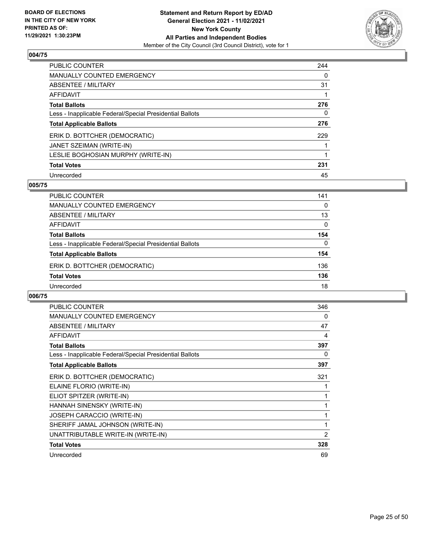

| <b>PUBLIC COUNTER</b>                                    | 244 |
|----------------------------------------------------------|-----|
| <b>MANUALLY COUNTED EMERGENCY</b>                        | 0   |
| ABSENTEE / MILITARY                                      | 31  |
| AFFIDAVIT                                                |     |
| <b>Total Ballots</b>                                     | 276 |
| Less - Inapplicable Federal/Special Presidential Ballots | 0   |
| <b>Total Applicable Ballots</b>                          | 276 |
| ERIK D. BOTTCHER (DEMOCRATIC)                            | 229 |
| JANET SZEIMAN (WRITE-IN)                                 |     |
| LESLIE BOGHOSIAN MURPHY (WRITE-IN)                       |     |
| <b>Total Votes</b>                                       | 231 |
| Unrecorded                                               | 45  |

#### **005/75**

| PUBLIC COUNTER                                           | 141      |
|----------------------------------------------------------|----------|
| <b>MANUALLY COUNTED EMERGENCY</b>                        | $\Omega$ |
| ABSENTEE / MILITARY                                      | 13       |
| AFFIDAVIT                                                | $\Omega$ |
| <b>Total Ballots</b>                                     | 154      |
| Less - Inapplicable Federal/Special Presidential Ballots | $\Omega$ |
| <b>Total Applicable Ballots</b>                          | 154      |
| ERIK D. BOTTCHER (DEMOCRATIC)                            | 136      |
| <b>Total Votes</b>                                       | 136      |
| Unrecorded                                               | 18       |

| <b>PUBLIC COUNTER</b>                                    | 346 |
|----------------------------------------------------------|-----|
| <b>MANUALLY COUNTED EMERGENCY</b>                        | 0   |
| <b>ABSENTEE / MILITARY</b>                               | 47  |
| <b>AFFIDAVIT</b>                                         | 4   |
| <b>Total Ballots</b>                                     | 397 |
| Less - Inapplicable Federal/Special Presidential Ballots | 0   |
| <b>Total Applicable Ballots</b>                          | 397 |
| ERIK D. BOTTCHER (DEMOCRATIC)                            | 321 |
| ELAINE FLORIO (WRITE-IN)                                 |     |
| ELIOT SPITZER (WRITE-IN)                                 |     |
| HANNAH SINENSKY (WRITE-IN)                               |     |
| <b>JOSEPH CARACCIO (WRITE-IN)</b>                        |     |
| SHERIFF JAMAL JOHNSON (WRITE-IN)                         | 1   |
| UNATTRIBUTABLE WRITE-IN (WRITE-IN)                       | 2   |
| <b>Total Votes</b>                                       | 328 |
| Unrecorded                                               | 69  |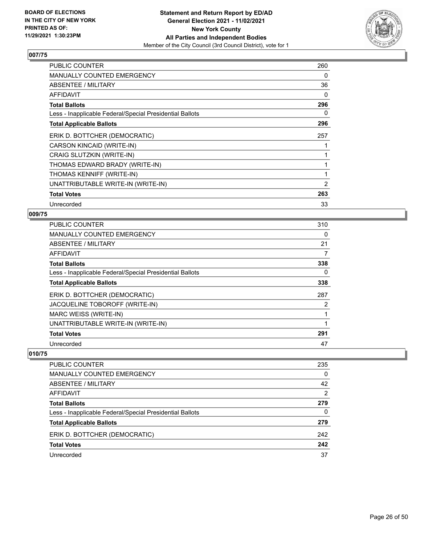

| <b>PUBLIC COUNTER</b>                                    | 260 |
|----------------------------------------------------------|-----|
| <b>MANUALLY COUNTED EMERGENCY</b>                        | 0   |
| ABSENTEE / MILITARY                                      | 36  |
| AFFIDAVIT                                                | 0   |
| <b>Total Ballots</b>                                     | 296 |
| Less - Inapplicable Federal/Special Presidential Ballots | 0   |
| <b>Total Applicable Ballots</b>                          | 296 |
| ERIK D. BOTTCHER (DEMOCRATIC)                            | 257 |
| CARSON KINCAID (WRITE-IN)                                |     |
| CRAIG SLUTZKIN (WRITE-IN)                                |     |
| THOMAS EDWARD BRADY (WRITE-IN)                           |     |
| THOMAS KENNIFF (WRITE-IN)                                |     |
| UNATTRIBUTABLE WRITE-IN (WRITE-IN)                       | 2   |
| <b>Total Votes</b>                                       | 263 |
| Unrecorded                                               | 33  |

# **009/75**

| PUBLIC COUNTER                                           | 310 |
|----------------------------------------------------------|-----|
| <b>MANUALLY COUNTED EMERGENCY</b>                        | 0   |
| <b>ABSENTEE / MILITARY</b>                               | 21  |
| AFFIDAVIT                                                | 7   |
| <b>Total Ballots</b>                                     | 338 |
| Less - Inapplicable Federal/Special Presidential Ballots | 0   |
| <b>Total Applicable Ballots</b>                          | 338 |
| ERIK D. BOTTCHER (DEMOCRATIC)                            | 287 |
| JACQUELINE TOBOROFF (WRITE-IN)                           | 2   |
| MARC WEISS (WRITE-IN)                                    |     |
| UNATTRIBUTABLE WRITE-IN (WRITE-IN)                       |     |
| <b>Total Votes</b>                                       | 291 |
| Unrecorded                                               | 47  |

| PUBLIC COUNTER                                           | 235           |
|----------------------------------------------------------|---------------|
| <b>MANUALLY COUNTED EMERGENCY</b>                        | 0             |
| ABSENTEE / MILITARY                                      | 42            |
| AFFIDAVIT                                                | $\mathcal{P}$ |
| <b>Total Ballots</b>                                     | 279           |
| Less - Inapplicable Federal/Special Presidential Ballots | 0             |
| <b>Total Applicable Ballots</b>                          | 279           |
| ERIK D. BOTTCHER (DEMOCRATIC)                            | 242           |
| <b>Total Votes</b>                                       | 242           |
| Unrecorded                                               | 37            |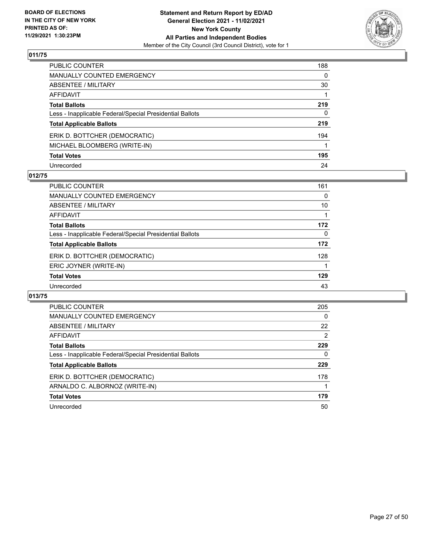

| PUBLIC COUNTER                                           | 188 |
|----------------------------------------------------------|-----|
| <b>MANUALLY COUNTED EMERGENCY</b>                        | 0   |
| ABSENTEE / MILITARY                                      | 30  |
| AFFIDAVIT                                                |     |
| <b>Total Ballots</b>                                     | 219 |
| Less - Inapplicable Federal/Special Presidential Ballots | 0   |
| <b>Total Applicable Ballots</b>                          | 219 |
| ERIK D. BOTTCHER (DEMOCRATIC)                            | 194 |
| MICHAEL BLOOMBERG (WRITE-IN)                             |     |
| <b>Total Votes</b>                                       | 195 |
| Unrecorded                                               | 24  |

## **012/75**

| PUBLIC COUNTER                                           | 161      |
|----------------------------------------------------------|----------|
| <b>MANUALLY COUNTED EMERGENCY</b>                        | 0        |
| ABSENTEE / MILITARY                                      | 10       |
| AFFIDAVIT                                                |          |
| <b>Total Ballots</b>                                     | 172      |
| Less - Inapplicable Federal/Special Presidential Ballots | $\Omega$ |
| <b>Total Applicable Ballots</b>                          | 172      |
| ERIK D. BOTTCHER (DEMOCRATIC)                            | 128      |
| ERIC JOYNER (WRITE-IN)                                   |          |
| <b>Total Votes</b>                                       | 129      |
| Unrecorded                                               | 43       |

| <b>PUBLIC COUNTER</b>                                    | 205 |
|----------------------------------------------------------|-----|
| <b>MANUALLY COUNTED EMERGENCY</b>                        | 0   |
| ABSENTEE / MILITARY                                      | 22  |
| <b>AFFIDAVIT</b>                                         | 2   |
| <b>Total Ballots</b>                                     | 229 |
| Less - Inapplicable Federal/Special Presidential Ballots | 0   |
| <b>Total Applicable Ballots</b>                          | 229 |
| ERIK D. BOTTCHER (DEMOCRATIC)                            | 178 |
| ARNALDO C. ALBORNOZ (WRITE-IN)                           |     |
| <b>Total Votes</b>                                       | 179 |
| Unrecorded                                               | 50  |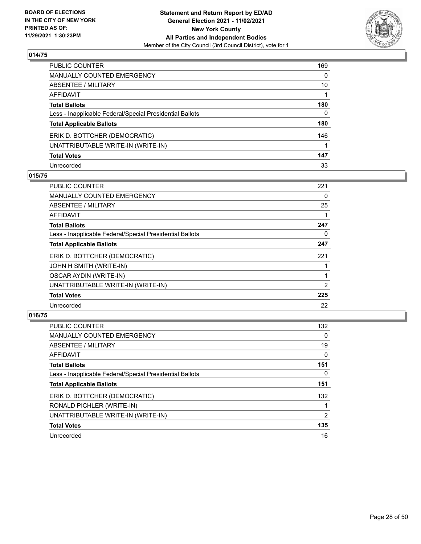

| PUBLIC COUNTER                                           | 169 |
|----------------------------------------------------------|-----|
| MANUALLY COUNTED EMERGENCY                               | 0   |
| ABSENTEE / MILITARY                                      | 10  |
| AFFIDAVIT                                                |     |
| Total Ballots                                            | 180 |
| Less - Inapplicable Federal/Special Presidential Ballots | 0   |
| <b>Total Applicable Ballots</b>                          | 180 |
| ERIK D. BOTTCHER (DEMOCRATIC)                            | 146 |
| UNATTRIBUTABLE WRITE-IN (WRITE-IN)                       |     |
| <b>Total Votes</b>                                       | 147 |
| Unrecorded                                               | 33  |

## **015/75**

| PUBLIC COUNTER                                           | 221 |
|----------------------------------------------------------|-----|
| <b>MANUALLY COUNTED EMERGENCY</b>                        | 0   |
| ABSENTEE / MILITARY                                      | 25  |
| AFFIDAVIT                                                |     |
| <b>Total Ballots</b>                                     | 247 |
| Less - Inapplicable Federal/Special Presidential Ballots | 0   |
| <b>Total Applicable Ballots</b>                          | 247 |
| ERIK D. BOTTCHER (DEMOCRATIC)                            | 221 |
| JOHN H SMITH (WRITE-IN)                                  |     |
| <b>OSCAR AYDIN (WRITE-IN)</b>                            |     |
| UNATTRIBUTABLE WRITE-IN (WRITE-IN)                       | 2   |
| <b>Total Votes</b>                                       | 225 |
| Unrecorded                                               | 22  |

| <b>PUBLIC COUNTER</b>                                    | 132      |
|----------------------------------------------------------|----------|
| MANUALLY COUNTED EMERGENCY                               | 0        |
| ABSENTEE / MILITARY                                      | 19       |
| AFFIDAVIT                                                | 0        |
| <b>Total Ballots</b>                                     | 151      |
| Less - Inapplicable Federal/Special Presidential Ballots | $\Omega$ |
| <b>Total Applicable Ballots</b>                          | 151      |
| ERIK D. BOTTCHER (DEMOCRATIC)                            | 132      |
| RONALD PICHLER (WRITE-IN)                                |          |
| UNATTRIBUTABLE WRITE-IN (WRITE-IN)                       | 2        |
| <b>Total Votes</b>                                       | 135      |
| Unrecorded                                               | 16       |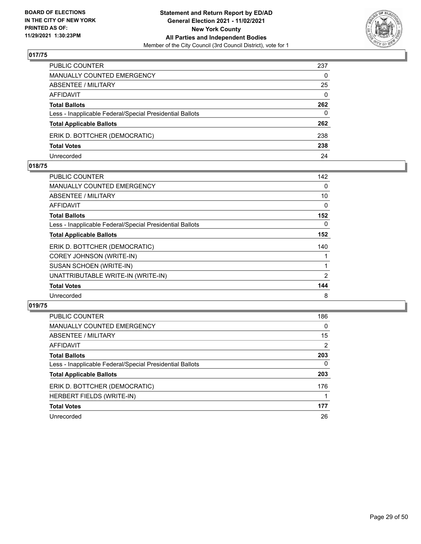

| PUBLIC COUNTER                                           | 237          |
|----------------------------------------------------------|--------------|
| <b>MANUALLY COUNTED EMERGENCY</b>                        | $\Omega$     |
| ABSENTEE / MILITARY                                      | 25           |
| AFFIDAVIT                                                | $\mathbf{0}$ |
| <b>Total Ballots</b>                                     | 262          |
| Less - Inapplicable Federal/Special Presidential Ballots | $\Omega$     |
| <b>Total Applicable Ballots</b>                          | 262          |
| ERIK D. BOTTCHER (DEMOCRATIC)                            | 238          |
| <b>Total Votes</b>                                       | 238          |
| Unrecorded                                               | 24           |

#### **018/75**

| PUBLIC COUNTER                                           | 142      |
|----------------------------------------------------------|----------|
| <b>MANUALLY COUNTED EMERGENCY</b>                        | $\Omega$ |
| ABSENTEE / MILITARY                                      | 10       |
| <b>AFFIDAVIT</b>                                         | $\Omega$ |
| <b>Total Ballots</b>                                     | 152      |
| Less - Inapplicable Federal/Special Presidential Ballots | $\Omega$ |
| <b>Total Applicable Ballots</b>                          | 152      |
| ERIK D. BOTTCHER (DEMOCRATIC)                            | 140      |
| COREY JOHNSON (WRITE-IN)                                 |          |
| SUSAN SCHOEN (WRITE-IN)                                  | 1        |
| UNATTRIBUTABLE WRITE-IN (WRITE-IN)                       | 2        |
| <b>Total Votes</b>                                       | 144      |
| Unrecorded                                               | 8        |
|                                                          |          |

| <b>PUBLIC COUNTER</b>                                    | 186      |
|----------------------------------------------------------|----------|
| MANUALLY COUNTED EMERGENCY                               | $\Omega$ |
| ABSENTEE / MILITARY                                      | 15       |
| AFFIDAVIT                                                | 2        |
| <b>Total Ballots</b>                                     | 203      |
| Less - Inapplicable Federal/Special Presidential Ballots | $\Omega$ |
| <b>Total Applicable Ballots</b>                          | 203      |
| ERIK D. BOTTCHER (DEMOCRATIC)                            | 176      |
| <b>HERBERT FIELDS (WRITE-IN)</b>                         |          |
| <b>Total Votes</b>                                       | 177      |
| Unrecorded                                               | 26       |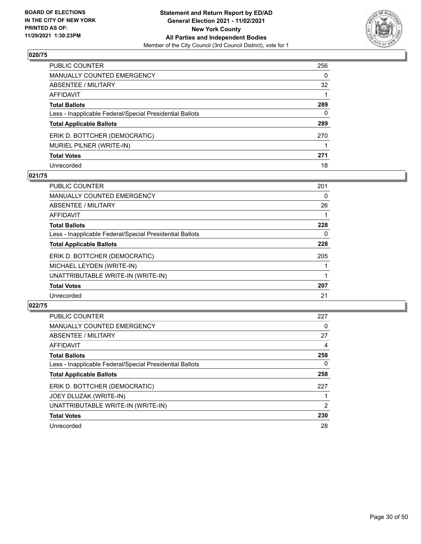

| PUBLIC COUNTER                                           | 256 |
|----------------------------------------------------------|-----|
| MANUALLY COUNTED EMERGENCY                               | 0   |
| ABSENTEE / MILITARY                                      | 32  |
| AFFIDAVIT                                                |     |
| Total Ballots                                            | 289 |
| Less - Inapplicable Federal/Special Presidential Ballots | 0   |
| <b>Total Applicable Ballots</b>                          | 289 |
| ERIK D. BOTTCHER (DEMOCRATIC)                            | 270 |
| MURIEL PILNER (WRITE-IN)                                 |     |
| <b>Total Votes</b>                                       | 271 |
| Unrecorded                                               | 18  |

## **021/75**

| <b>PUBLIC COUNTER</b>                                    | 201 |
|----------------------------------------------------------|-----|
| MANUALLY COUNTED EMERGENCY                               | 0   |
| ABSENTEE / MILITARY                                      | 26  |
| <b>AFFIDAVIT</b>                                         |     |
| <b>Total Ballots</b>                                     | 228 |
| Less - Inapplicable Federal/Special Presidential Ballots | 0   |
| <b>Total Applicable Ballots</b>                          | 228 |
| ERIK D. BOTTCHER (DEMOCRATIC)                            | 205 |
| MICHAEL LEYDEN (WRITE-IN)                                |     |
| UNATTRIBUTABLE WRITE-IN (WRITE-IN)                       |     |
| <b>Total Votes</b>                                       | 207 |
| Unrecorded                                               | 21  |

| <b>PUBLIC COUNTER</b>                                    | 227      |
|----------------------------------------------------------|----------|
| <b>MANUALLY COUNTED EMERGENCY</b>                        | 0        |
| ABSENTEE / MILITARY                                      | 27       |
| AFFIDAVIT                                                | 4        |
| <b>Total Ballots</b>                                     | 258      |
| Less - Inapplicable Federal/Special Presidential Ballots | $\Omega$ |
| <b>Total Applicable Ballots</b>                          | 258      |
| ERIK D. BOTTCHER (DEMOCRATIC)                            | 227      |
| JOEY DLUZAK (WRITE-IN)                                   |          |
| UNATTRIBUTABLE WRITE-IN (WRITE-IN)                       | 2        |
| <b>Total Votes</b>                                       | 230      |
| Unrecorded                                               | 28       |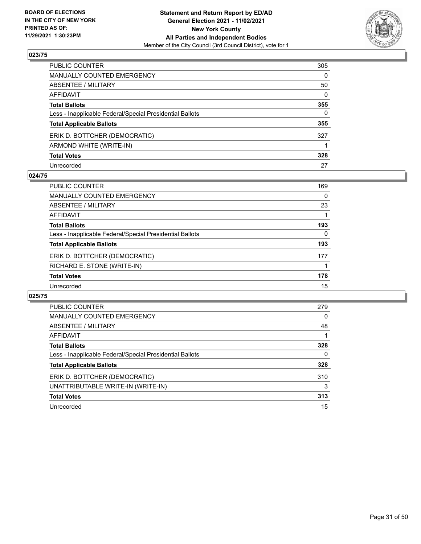

| PUBLIC COUNTER                                           | 305      |
|----------------------------------------------------------|----------|
| MANUALLY COUNTED EMERGENCY                               | 0        |
| ABSENTEE / MILITARY                                      | 50       |
| AFFIDAVIT                                                | $\Omega$ |
| Total Ballots                                            | 355      |
| Less - Inapplicable Federal/Special Presidential Ballots | 0        |
| <b>Total Applicable Ballots</b>                          | 355      |
| ERIK D. BOTTCHER (DEMOCRATIC)                            | 327      |
| ARMOND WHITE (WRITE-IN)                                  |          |
| <b>Total Votes</b>                                       | 328      |
| Unrecorded                                               | 27       |

#### **024/75**

| PUBLIC COUNTER                                           | 169      |
|----------------------------------------------------------|----------|
| <b>MANUALLY COUNTED EMERGENCY</b>                        | $\Omega$ |
| ABSENTEE / MILITARY                                      | 23       |
| AFFIDAVIT                                                |          |
| <b>Total Ballots</b>                                     | 193      |
| Less - Inapplicable Federal/Special Presidential Ballots | $\Omega$ |
| <b>Total Applicable Ballots</b>                          | 193      |
| ERIK D. BOTTCHER (DEMOCRATIC)                            | 177      |
| RICHARD E. STONE (WRITE-IN)                              |          |
| <b>Total Votes</b>                                       | 178      |
| Unrecorded                                               | 15       |

| <b>PUBLIC COUNTER</b>                                    | 279 |
|----------------------------------------------------------|-----|
| <b>MANUALLY COUNTED EMERGENCY</b>                        | 0   |
| ABSENTEE / MILITARY                                      | 48  |
| <b>AFFIDAVIT</b>                                         |     |
| <b>Total Ballots</b>                                     | 328 |
| Less - Inapplicable Federal/Special Presidential Ballots | 0   |
| <b>Total Applicable Ballots</b>                          | 328 |
| ERIK D. BOTTCHER (DEMOCRATIC)                            | 310 |
| UNATTRIBUTABLE WRITE-IN (WRITE-IN)                       | 3   |
| <b>Total Votes</b>                                       | 313 |
| Unrecorded                                               | 15  |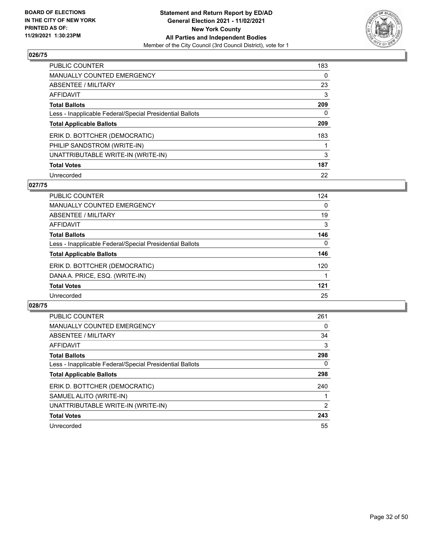

| <b>PUBLIC COUNTER</b>                                    | 183 |
|----------------------------------------------------------|-----|
| MANUALLY COUNTED EMERGENCY                               | 0   |
| ABSENTEE / MILITARY                                      | 23  |
| AFFIDAVIT                                                | 3   |
| <b>Total Ballots</b>                                     | 209 |
| Less - Inapplicable Federal/Special Presidential Ballots | 0   |
| <b>Total Applicable Ballots</b>                          | 209 |
| ERIK D. BOTTCHER (DEMOCRATIC)                            | 183 |
| PHILIP SANDSTROM (WRITE-IN)                              |     |
| UNATTRIBUTABLE WRITE-IN (WRITE-IN)                       | 3   |
| <b>Total Votes</b>                                       | 187 |
| Unrecorded                                               | 22  |

#### **027/75**

| <b>PUBLIC COUNTER</b>                                    | 124 |
|----------------------------------------------------------|-----|
| <b>MANUALLY COUNTED EMERGENCY</b>                        | 0   |
| ABSENTEE / MILITARY                                      | 19  |
| <b>AFFIDAVIT</b>                                         | 3   |
| <b>Total Ballots</b>                                     | 146 |
| Less - Inapplicable Federal/Special Presidential Ballots | 0   |
| <b>Total Applicable Ballots</b>                          | 146 |
| ERIK D. BOTTCHER (DEMOCRATIC)                            | 120 |
| DANA A. PRICE, ESQ. (WRITE-IN)                           |     |
| <b>Total Votes</b>                                       | 121 |
| Unrecorded                                               | 25  |

| <b>PUBLIC COUNTER</b>                                    | 261 |
|----------------------------------------------------------|-----|
| <b>MANUALLY COUNTED EMERGENCY</b>                        | 0   |
| ABSENTEE / MILITARY                                      | 34  |
| AFFIDAVIT                                                | 3   |
| <b>Total Ballots</b>                                     | 298 |
| Less - Inapplicable Federal/Special Presidential Ballots | 0   |
| <b>Total Applicable Ballots</b>                          | 298 |
| ERIK D. BOTTCHER (DEMOCRATIC)                            | 240 |
| SAMUEL ALITO (WRITE-IN)                                  |     |
| UNATTRIBUTABLE WRITE-IN (WRITE-IN)                       | 2   |
| <b>Total Votes</b>                                       | 243 |
| Unrecorded                                               | 55  |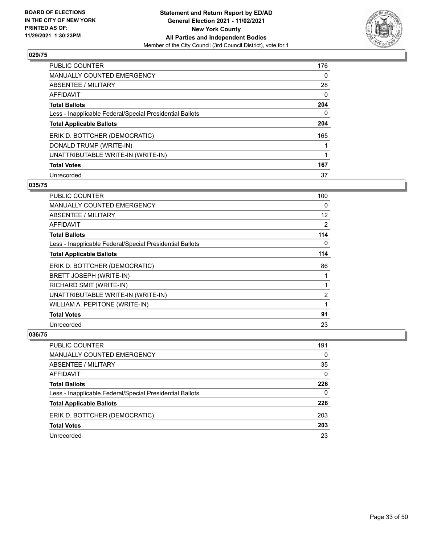

| PUBLIC COUNTER                                           | 176      |
|----------------------------------------------------------|----------|
| <b>MANUALLY COUNTED EMERGENCY</b>                        | $\Omega$ |
| ABSENTEE / MILITARY                                      | 28       |
| AFFIDAVIT                                                | $\Omega$ |
| <b>Total Ballots</b>                                     | 204      |
| Less - Inapplicable Federal/Special Presidential Ballots | 0        |
| <b>Total Applicable Ballots</b>                          | 204      |
| ERIK D. BOTTCHER (DEMOCRATIC)                            | 165      |
| DONALD TRUMP (WRITE-IN)                                  |          |
| UNATTRIBUTABLE WRITE-IN (WRITE-IN)                       |          |
| <b>Total Votes</b>                                       | 167      |
| Unrecorded                                               | 37       |

## **035/75**

| <b>PUBLIC COUNTER</b>                                    | 100 |
|----------------------------------------------------------|-----|
| <b>MANUALLY COUNTED EMERGENCY</b>                        | 0   |
| ABSENTEE / MILITARY                                      | 12  |
| <b>AFFIDAVIT</b>                                         | 2   |
| <b>Total Ballots</b>                                     | 114 |
| Less - Inapplicable Federal/Special Presidential Ballots | 0   |
| <b>Total Applicable Ballots</b>                          | 114 |
| ERIK D. BOTTCHER (DEMOCRATIC)                            | 86  |
| BRETT JOSEPH (WRITE-IN)                                  | 1   |
| RICHARD SMIT (WRITE-IN)                                  |     |
| UNATTRIBUTABLE WRITE-IN (WRITE-IN)                       | 2   |
| WILLIAM A. PEPITONE (WRITE-IN)                           | 1   |
| <b>Total Votes</b>                                       | 91  |
| Unrecorded                                               | 23  |

| <b>PUBLIC COUNTER</b>                                    | 191      |
|----------------------------------------------------------|----------|
| <b>MANUALLY COUNTED EMERGENCY</b>                        | $\Omega$ |
| ABSENTEE / MILITARY                                      | 35       |
| AFFIDAVIT                                                | 0        |
| <b>Total Ballots</b>                                     | 226      |
| Less - Inapplicable Federal/Special Presidential Ballots | 0        |
| <b>Total Applicable Ballots</b>                          | 226      |
| ERIK D. BOTTCHER (DEMOCRATIC)                            | 203      |
| <b>Total Votes</b>                                       | 203      |
| Unrecorded                                               | 23       |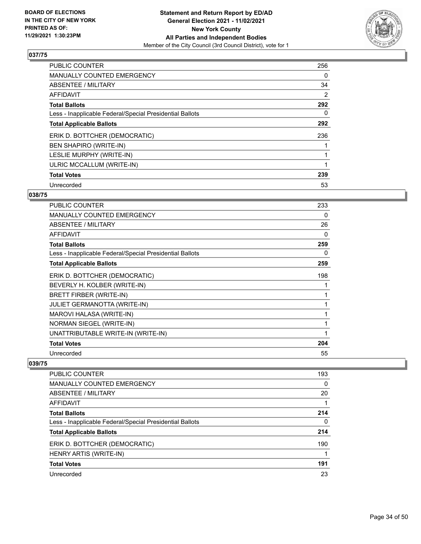

| <b>PUBLIC COUNTER</b>                                    | 256 |
|----------------------------------------------------------|-----|
| <b>MANUALLY COUNTED EMERGENCY</b>                        | 0   |
| ABSENTEE / MILITARY                                      | 34  |
| <b>AFFIDAVIT</b>                                         | 2   |
| <b>Total Ballots</b>                                     | 292 |
| Less - Inapplicable Federal/Special Presidential Ballots | 0   |
| <b>Total Applicable Ballots</b>                          | 292 |
| ERIK D. BOTTCHER (DEMOCRATIC)                            | 236 |
| <b>BEN SHAPIRO (WRITE-IN)</b>                            |     |
| LESLIE MURPHY (WRITE-IN)                                 |     |
| ULRIC MCCALLUM (WRITE-IN)                                |     |
| <b>Total Votes</b>                                       | 239 |
| Unrecorded                                               | 53  |

# **038/75**

| <b>PUBLIC COUNTER</b>                                    | 233 |
|----------------------------------------------------------|-----|
| <b>MANUALLY COUNTED EMERGENCY</b>                        | 0   |
| <b>ABSENTEE / MILITARY</b>                               | 26  |
| <b>AFFIDAVIT</b>                                         | 0   |
| <b>Total Ballots</b>                                     | 259 |
| Less - Inapplicable Federal/Special Presidential Ballots | 0   |
| <b>Total Applicable Ballots</b>                          | 259 |
| ERIK D. BOTTCHER (DEMOCRATIC)                            | 198 |
| BEVERLY H. KOLBER (WRITE-IN)                             |     |
| BRETT FIRBER (WRITE-IN)                                  |     |
| <b>JULIET GERMANOTTA (WRITE-IN)</b>                      |     |
| MAROVI HALASA (WRITE-IN)                                 | 1   |
| NORMAN SIEGEL (WRITE-IN)                                 | 1   |
| UNATTRIBUTABLE WRITE-IN (WRITE-IN)                       |     |
| <b>Total Votes</b>                                       | 204 |
| Unrecorded                                               | 55  |

| <b>PUBLIC COUNTER</b>                                    | 193 |
|----------------------------------------------------------|-----|
| <b>MANUALLY COUNTED EMERGENCY</b>                        | 0   |
| ABSENTEE / MILITARY                                      | 20  |
| AFFIDAVIT                                                | 1   |
| <b>Total Ballots</b>                                     | 214 |
| Less - Inapplicable Federal/Special Presidential Ballots | 0   |
| <b>Total Applicable Ballots</b>                          | 214 |
| ERIK D. BOTTCHER (DEMOCRATIC)                            | 190 |
| HENRY ARTIS (WRITE-IN)                                   |     |
| <b>Total Votes</b>                                       | 191 |
| Unrecorded                                               | 23  |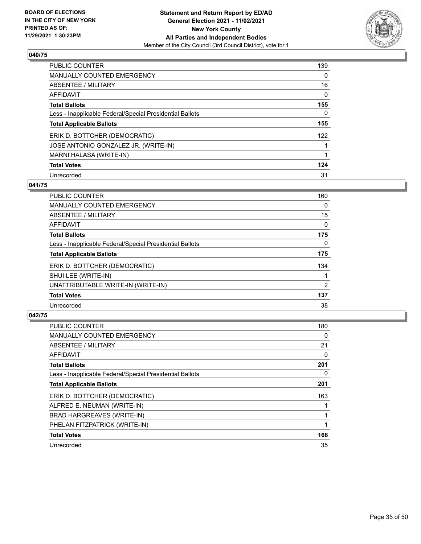

| <b>PUBLIC COUNTER</b>                                    | 139      |
|----------------------------------------------------------|----------|
| <b>MANUALLY COUNTED EMERGENCY</b>                        | $\Omega$ |
| ABSENTEE / MILITARY                                      | 16       |
| AFFIDAVIT                                                | $\Omega$ |
| <b>Total Ballots</b>                                     | 155      |
| Less - Inapplicable Federal/Special Presidential Ballots | 0        |
| <b>Total Applicable Ballots</b>                          | 155      |
| ERIK D. BOTTCHER (DEMOCRATIC)                            | 122      |
| JOSE ANTONIO GONZALEZ JR. (WRITE-IN)                     |          |
| MARNI HALASA (WRITE-IN)                                  |          |
| <b>Total Votes</b>                                       | 124      |
| Unrecorded                                               | 31       |

#### **041/75**

| <b>PUBLIC COUNTER</b>                                    | 160      |
|----------------------------------------------------------|----------|
| <b>MANUALLY COUNTED EMERGENCY</b>                        | 0        |
| ABSENTEE / MILITARY                                      | 15       |
| <b>AFFIDAVIT</b>                                         | $\Omega$ |
| <b>Total Ballots</b>                                     | 175      |
| Less - Inapplicable Federal/Special Presidential Ballots | $\Omega$ |
| <b>Total Applicable Ballots</b>                          | 175      |
| ERIK D. BOTTCHER (DEMOCRATIC)                            | 134      |
| SHUI LEE (WRITE-IN)                                      |          |
| UNATTRIBUTABLE WRITE-IN (WRITE-IN)                       | 2        |
| <b>Total Votes</b>                                       | 137      |
| Unrecorded                                               | 38       |

| <b>PUBLIC COUNTER</b>                                    | 180 |
|----------------------------------------------------------|-----|
| <b>MANUALLY COUNTED EMERGENCY</b>                        | 0   |
| ABSENTEE / MILITARY                                      | 21  |
| <b>AFFIDAVIT</b>                                         | 0   |
| <b>Total Ballots</b>                                     | 201 |
| Less - Inapplicable Federal/Special Presidential Ballots | 0   |
| <b>Total Applicable Ballots</b>                          | 201 |
| ERIK D. BOTTCHER (DEMOCRATIC)                            | 163 |
| ALFRED E. NEUMAN (WRITE-IN)                              |     |
| BRAD HARGREAVES (WRITE-IN)                               |     |
| PHELAN FITZPATRICK (WRITE-IN)                            |     |
| <b>Total Votes</b>                                       | 166 |
| Unrecorded                                               | 35  |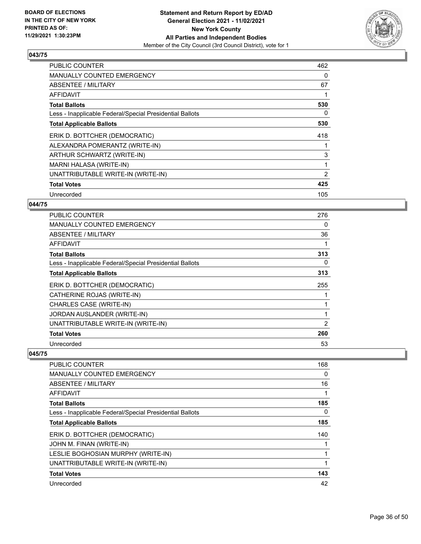

| <b>PUBLIC COUNTER</b>                                    | 462 |
|----------------------------------------------------------|-----|
| MANUALLY COUNTED EMERGENCY                               | 0   |
| ABSENTEE / MILITARY                                      | 67  |
| AFFIDAVIT                                                |     |
| <b>Total Ballots</b>                                     | 530 |
| Less - Inapplicable Federal/Special Presidential Ballots | 0   |
| <b>Total Applicable Ballots</b>                          | 530 |
| ERIK D. BOTTCHER (DEMOCRATIC)                            | 418 |
| ALEXANDRA POMERANTZ (WRITE-IN)                           |     |
| ARTHUR SCHWARTZ (WRITE-IN)                               | 3   |
| MARNI HALASA (WRITE-IN)                                  | 1   |
| UNATTRIBUTABLE WRITE-IN (WRITE-IN)                       | 2   |
| <b>Total Votes</b>                                       | 425 |
| Unrecorded                                               | 105 |

# **044/75**

| <b>PUBLIC COUNTER</b>                                    | 276 |
|----------------------------------------------------------|-----|
| <b>MANUALLY COUNTED EMERGENCY</b>                        | 0   |
| ABSENTEE / MILITARY                                      | 36  |
| AFFIDAVIT                                                |     |
| <b>Total Ballots</b>                                     | 313 |
| Less - Inapplicable Federal/Special Presidential Ballots | 0   |
| <b>Total Applicable Ballots</b>                          | 313 |
| ERIK D. BOTTCHER (DEMOCRATIC)                            | 255 |
| CATHERINE ROJAS (WRITE-IN)                               |     |
| CHARLES CASE (WRITE-IN)                                  |     |
| JORDAN AUSLANDER (WRITE-IN)                              |     |
| UNATTRIBUTABLE WRITE-IN (WRITE-IN)                       | 2   |
| <b>Total Votes</b>                                       | 260 |
| Unrecorded                                               | 53  |

| <b>PUBLIC COUNTER</b>                                    | 168      |
|----------------------------------------------------------|----------|
| <b>MANUALLY COUNTED EMERGENCY</b>                        | 0        |
| ABSENTEE / MILITARY                                      | 16       |
| <b>AFFIDAVIT</b>                                         |          |
| <b>Total Ballots</b>                                     | 185      |
| Less - Inapplicable Federal/Special Presidential Ballots | $\Omega$ |
| <b>Total Applicable Ballots</b>                          | 185      |
| ERIK D. BOTTCHER (DEMOCRATIC)                            | 140      |
| JOHN M. FINAN (WRITE-IN)                                 |          |
| LESLIE BOGHOSIAN MURPHY (WRITE-IN)                       |          |
| UNATTRIBUTABLE WRITE-IN (WRITE-IN)                       |          |
| <b>Total Votes</b>                                       | 143      |
| Unrecorded                                               | 42       |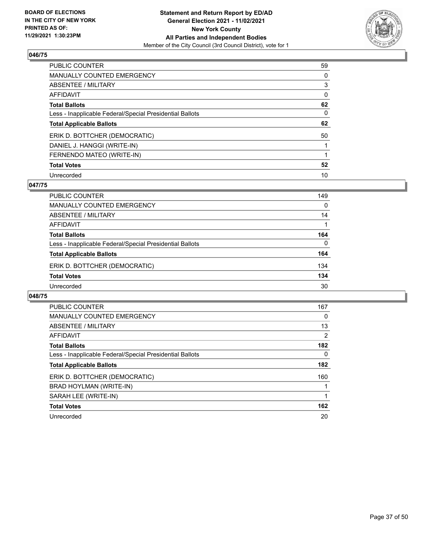

| PUBLIC COUNTER                                           | 59       |
|----------------------------------------------------------|----------|
| MANUALLY COUNTED EMERGENCY                               | 0        |
| ABSENTEE / MILITARY                                      | 3        |
| <b>AFFIDAVIT</b>                                         | $\Omega$ |
| <b>Total Ballots</b>                                     | 62       |
| Less - Inapplicable Federal/Special Presidential Ballots | $\Omega$ |
| <b>Total Applicable Ballots</b>                          | 62       |
| ERIK D. BOTTCHER (DEMOCRATIC)                            | 50       |
| DANIEL J. HANGGI (WRITE-IN)                              |          |
| FERNENDO MATEO (WRITE-IN)                                |          |
| <b>Total Votes</b>                                       | 52       |
| Unrecorded                                               | 10       |

#### **047/75**

| <b>PUBLIC COUNTER</b>                                    | 149      |
|----------------------------------------------------------|----------|
| MANUALLY COUNTED EMERGENCY                               | $\Omega$ |
| ABSENTEE / MILITARY                                      | 14       |
| AFFIDAVIT                                                |          |
| <b>Total Ballots</b>                                     | 164      |
| Less - Inapplicable Federal/Special Presidential Ballots | $\Omega$ |
| <b>Total Applicable Ballots</b>                          | 164      |
| ERIK D. BOTTCHER (DEMOCRATIC)                            | 134      |
| <b>Total Votes</b>                                       | 134      |
| Unrecorded                                               | 30       |

| <b>PUBLIC COUNTER</b>                                    | 167 |
|----------------------------------------------------------|-----|
| <b>MANUALLY COUNTED EMERGENCY</b>                        | 0   |
| ABSENTEE / MILITARY                                      | 13  |
| <b>AFFIDAVIT</b>                                         | 2   |
| <b>Total Ballots</b>                                     | 182 |
| Less - Inapplicable Federal/Special Presidential Ballots | 0   |
| <b>Total Applicable Ballots</b>                          | 182 |
| ERIK D. BOTTCHER (DEMOCRATIC)                            | 160 |
| BRAD HOYLMAN (WRITE-IN)                                  |     |
| SARAH LEE (WRITE-IN)                                     |     |
| <b>Total Votes</b>                                       | 162 |
| Unrecorded                                               | 20  |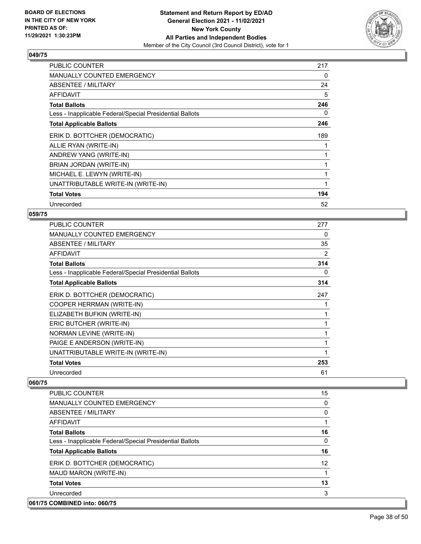

| <b>PUBLIC COUNTER</b>                                    | 217 |
|----------------------------------------------------------|-----|
| <b>MANUALLY COUNTED EMERGENCY</b>                        | 0   |
| ABSENTEE / MILITARY                                      | 24  |
| <b>AFFIDAVIT</b>                                         | 5   |
| <b>Total Ballots</b>                                     | 246 |
| Less - Inapplicable Federal/Special Presidential Ballots | 0   |
| <b>Total Applicable Ballots</b>                          | 246 |
| ERIK D. BOTTCHER (DEMOCRATIC)                            | 189 |
| ALLIE RYAN (WRITE-IN)                                    |     |
| ANDREW YANG (WRITE-IN)                                   |     |
| BRIAN JORDAN (WRITE-IN)                                  |     |
| MICHAEL E. LEWYN (WRITE-IN)                              |     |
| UNATTRIBUTABLE WRITE-IN (WRITE-IN)                       | 1   |
| <b>Total Votes</b>                                       | 194 |
| Unrecorded                                               | 52  |

# **059/75**

| PUBLIC COUNTER                                           | 277 |
|----------------------------------------------------------|-----|
| <b>MANUALLY COUNTED EMERGENCY</b>                        | 0   |
| ABSENTEE / MILITARY                                      | 35  |
| <b>AFFIDAVIT</b>                                         | 2   |
| <b>Total Ballots</b>                                     | 314 |
| Less - Inapplicable Federal/Special Presidential Ballots | 0   |
| <b>Total Applicable Ballots</b>                          | 314 |
| ERIK D. BOTTCHER (DEMOCRATIC)                            | 247 |
| COOPER HERRMAN (WRITE-IN)                                | 1   |
| ELIZABETH BUFKIN (WRITE-IN)                              | 1   |
| ERIC BUTCHER (WRITE-IN)                                  | 1   |
| NORMAN LEVINE (WRITE-IN)                                 | 1   |
| PAIGE E ANDERSON (WRITE-IN)                              | 1   |
| UNATTRIBUTABLE WRITE-IN (WRITE-IN)                       | 1   |
| <b>Total Votes</b>                                       | 253 |
| Unrecorded                                               | 61  |

| <b>PUBLIC COUNTER</b>                                    | 15       |
|----------------------------------------------------------|----------|
| <b>MANUALLY COUNTED EMERGENCY</b>                        | 0        |
| ABSENTEE / MILITARY                                      | 0        |
| AFFIDAVIT                                                |          |
| <b>Total Ballots</b>                                     | 16       |
| Less - Inapplicable Federal/Special Presidential Ballots | $\Omega$ |
| <b>Total Applicable Ballots</b>                          | 16       |
| ERIK D. BOTTCHER (DEMOCRATIC)                            | 12       |
| MAUD MARON (WRITE-IN)                                    |          |
| <b>Total Votes</b>                                       | 13       |
| Unrecorded                                               | 3        |
| 061/75 COMBINED into: 060/75                             |          |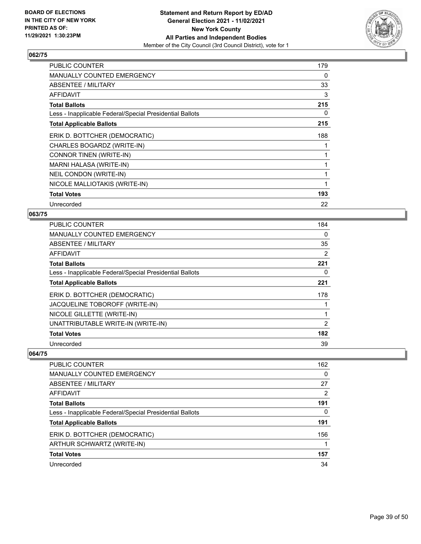

| PUBLIC COUNTER                                           | 179 |
|----------------------------------------------------------|-----|
| MANUALLY COUNTED EMERGENCY                               | 0   |
| ABSENTEE / MILITARY                                      | 33  |
| AFFIDAVIT                                                | 3   |
| <b>Total Ballots</b>                                     | 215 |
| Less - Inapplicable Federal/Special Presidential Ballots | 0   |
| <b>Total Applicable Ballots</b>                          | 215 |
| ERIK D. BOTTCHER (DEMOCRATIC)                            | 188 |
| CHARLES BOGARDZ (WRITE-IN)                               |     |
| CONNOR TINEN (WRITE-IN)                                  |     |
| MARNI HALASA (WRITE-IN)                                  |     |
| NEIL CONDON (WRITE-IN)                                   | 1   |
| NICOLE MALLIOTAKIS (WRITE-IN)                            | 1   |
| <b>Total Votes</b>                                       | 193 |
| Unrecorded                                               | 22  |

# **063/75**

| <b>PUBLIC COUNTER</b>                                    | 184            |
|----------------------------------------------------------|----------------|
| MANUALLY COUNTED EMERGENCY                               | 0              |
| ABSENTEE / MILITARY                                      | 35             |
| AFFIDAVIT                                                | 2              |
| <b>Total Ballots</b>                                     | 221            |
| Less - Inapplicable Federal/Special Presidential Ballots | 0              |
| <b>Total Applicable Ballots</b>                          | 221            |
| ERIK D. BOTTCHER (DEMOCRATIC)                            | 178            |
| JACQUELINE TOBOROFF (WRITE-IN)                           |                |
| NICOLE GILLETTE (WRITE-IN)                               |                |
| UNATTRIBUTABLE WRITE-IN (WRITE-IN)                       | $\overline{2}$ |
| <b>Total Votes</b>                                       | 182            |
| Unrecorded                                               | 39             |

| <b>PUBLIC COUNTER</b>                                    | 162            |
|----------------------------------------------------------|----------------|
| <b>MANUALLY COUNTED EMERGENCY</b>                        | $\Omega$       |
| ABSENTEE / MILITARY                                      | 27             |
| AFFIDAVIT                                                | $\overline{2}$ |
| <b>Total Ballots</b>                                     | 191            |
| Less - Inapplicable Federal/Special Presidential Ballots | 0              |
| <b>Total Applicable Ballots</b>                          | 191            |
| ERIK D. BOTTCHER (DEMOCRATIC)                            | 156            |
| ARTHUR SCHWARTZ (WRITE-IN)                               |                |
| <b>Total Votes</b>                                       | 157            |
| Unrecorded                                               | 34             |
|                                                          |                |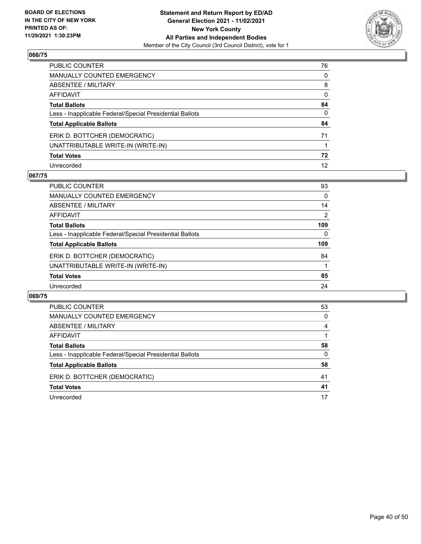

| PUBLIC COUNTER                                           | 76           |
|----------------------------------------------------------|--------------|
| MANUALLY COUNTED EMERGENCY                               | $\mathbf{0}$ |
| ABSENTEE / MILITARY                                      | 8            |
| AFFIDAVIT                                                | $\mathbf{0}$ |
| Total Ballots                                            | 84           |
| Less - Inapplicable Federal/Special Presidential Ballots | $\mathbf{0}$ |
| <b>Total Applicable Ballots</b>                          | 84           |
| ERIK D. BOTTCHER (DEMOCRATIC)                            | 71           |
| UNATTRIBUTABLE WRITE-IN (WRITE-IN)                       |              |
| <b>Total Votes</b>                                       | 72           |
| Unrecorded                                               | 12           |

#### **067/75**

| <b>PUBLIC COUNTER</b>                                    | 93             |
|----------------------------------------------------------|----------------|
| <b>MANUALLY COUNTED EMERGENCY</b>                        | $\Omega$       |
| ABSENTEE / MILITARY                                      | 14             |
| AFFIDAVIT                                                | $\overline{2}$ |
| <b>Total Ballots</b>                                     | 109            |
| Less - Inapplicable Federal/Special Presidential Ballots | $\Omega$       |
| <b>Total Applicable Ballots</b>                          | 109            |
| ERIK D. BOTTCHER (DEMOCRATIC)                            | 84             |
| UNATTRIBUTABLE WRITE-IN (WRITE-IN)                       |                |
| <b>Total Votes</b>                                       | 85             |
| Unrecorded                                               | 24             |

| <b>PUBLIC COUNTER</b>                                    | 53 |
|----------------------------------------------------------|----|
| <b>MANUALLY COUNTED EMERGENCY</b>                        | 0  |
| ABSENTEE / MILITARY                                      | 4  |
| AFFIDAVIT                                                |    |
| <b>Total Ballots</b>                                     | 58 |
| Less - Inapplicable Federal/Special Presidential Ballots | 0  |
| <b>Total Applicable Ballots</b>                          | 58 |
| ERIK D. BOTTCHER (DEMOCRATIC)                            | 41 |
| <b>Total Votes</b>                                       | 41 |
| Unrecorded                                               | 17 |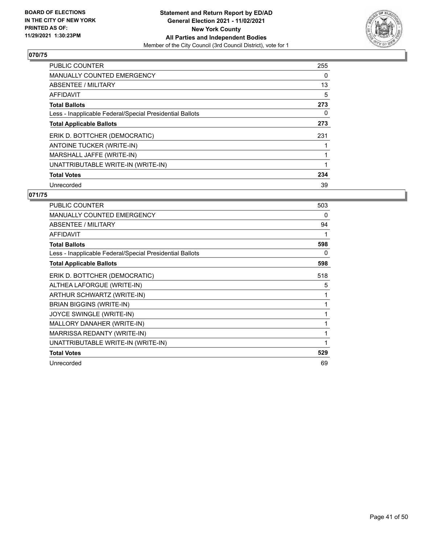

| <b>PUBLIC COUNTER</b>                                    | 255 |
|----------------------------------------------------------|-----|
| <b>MANUALLY COUNTED EMERGENCY</b>                        | 0   |
| <b>ABSENTEE / MILITARY</b>                               | 13  |
| <b>AFFIDAVIT</b>                                         | 5   |
| <b>Total Ballots</b>                                     | 273 |
| Less - Inapplicable Federal/Special Presidential Ballots | 0   |
| <b>Total Applicable Ballots</b>                          | 273 |
| ERIK D. BOTTCHER (DEMOCRATIC)                            | 231 |
| <b>ANTOINE TUCKER (WRITE-IN)</b>                         |     |
| MARSHALL JAFFE (WRITE-IN)                                |     |
| UNATTRIBUTABLE WRITE-IN (WRITE-IN)                       | 1   |
| <b>Total Votes</b>                                       | 234 |
| Unrecorded                                               | 39  |

| <b>PUBLIC COUNTER</b>                                    | 503 |
|----------------------------------------------------------|-----|
| <b>MANUALLY COUNTED EMERGENCY</b>                        | 0   |
| <b>ABSENTEE / MILITARY</b>                               | 94  |
| <b>AFFIDAVIT</b>                                         |     |
| <b>Total Ballots</b>                                     | 598 |
| Less - Inapplicable Federal/Special Presidential Ballots | 0   |
| <b>Total Applicable Ballots</b>                          | 598 |
| ERIK D. BOTTCHER (DEMOCRATIC)                            | 518 |
| ALTHEA LAFORGUE (WRITE-IN)                               | 5   |
| ARTHUR SCHWARTZ (WRITE-IN)                               | 1   |
| <b>BRIAN BIGGINS (WRITE-IN)</b>                          |     |
| JOYCE SWINGLE (WRITE-IN)                                 | 1   |
| MALLORY DANAHER (WRITE-IN)                               | 1   |
| MARRISSA REDANTY (WRITE-IN)                              |     |
| UNATTRIBUTABLE WRITE-IN (WRITE-IN)                       | 1   |
| <b>Total Votes</b>                                       | 529 |
| Unrecorded                                               | 69  |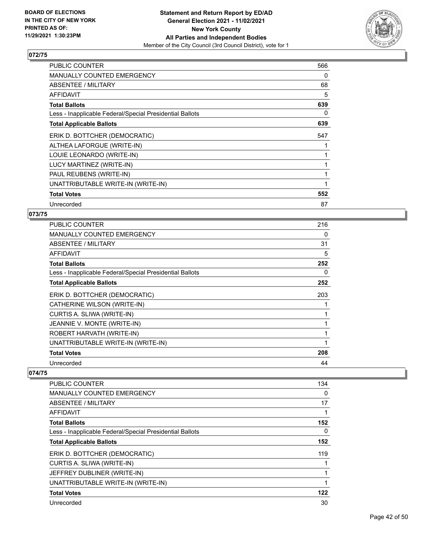

| <b>PUBLIC COUNTER</b>                                    | 566 |
|----------------------------------------------------------|-----|
| <b>MANUALLY COUNTED EMERGENCY</b>                        | 0   |
| ABSENTEE / MILITARY                                      | 68  |
| <b>AFFIDAVIT</b>                                         | 5   |
| <b>Total Ballots</b>                                     | 639 |
| Less - Inapplicable Federal/Special Presidential Ballots | 0   |
| <b>Total Applicable Ballots</b>                          | 639 |
| ERIK D. BOTTCHER (DEMOCRATIC)                            | 547 |
| ALTHEA LAFORGUE (WRITE-IN)                               |     |
| LOUIE LEONARDO (WRITE-IN)                                |     |
| LUCY MARTINEZ (WRITE-IN)                                 |     |
| PAUL REUBENS (WRITE-IN)                                  |     |
| UNATTRIBUTABLE WRITE-IN (WRITE-IN)                       | 1   |
| <b>Total Votes</b>                                       | 552 |
| Unrecorded                                               | 87  |

# **073/75**

| <b>PUBLIC COUNTER</b>                                    | 216 |
|----------------------------------------------------------|-----|
| <b>MANUALLY COUNTED EMERGENCY</b>                        | 0   |
| ABSENTEE / MILITARY                                      | 31  |
| AFFIDAVIT                                                | 5   |
| <b>Total Ballots</b>                                     | 252 |
| Less - Inapplicable Federal/Special Presidential Ballots | 0   |
| <b>Total Applicable Ballots</b>                          | 252 |
| ERIK D. BOTTCHER (DEMOCRATIC)                            | 203 |
| CATHERINE WILSON (WRITE-IN)                              | 1   |
| CURTIS A. SLIWA (WRITE-IN)                               | 1   |
| JEANNIE V. MONTE (WRITE-IN)                              | 1   |
| ROBERT HARVATH (WRITE-IN)                                | 1   |
| UNATTRIBUTABLE WRITE-IN (WRITE-IN)                       | 1   |
| <b>Total Votes</b>                                       | 208 |
| Unrecorded                                               | 44  |
|                                                          |     |

| <b>PUBLIC COUNTER</b>                                    | 134 |
|----------------------------------------------------------|-----|
| <b>MANUALLY COUNTED EMERGENCY</b>                        | 0   |
| ABSENTEE / MILITARY                                      | 17  |
| <b>AFFIDAVIT</b>                                         |     |
| <b>Total Ballots</b>                                     | 152 |
| Less - Inapplicable Federal/Special Presidential Ballots | 0   |
| <b>Total Applicable Ballots</b>                          | 152 |
| ERIK D. BOTTCHER (DEMOCRATIC)                            | 119 |
| CURTIS A. SLIWA (WRITE-IN)                               |     |
| JEFFREY DUBLINER (WRITE-IN)                              |     |
| UNATTRIBUTABLE WRITE-IN (WRITE-IN)                       |     |
| <b>Total Votes</b>                                       | 122 |
| Unrecorded                                               | 30  |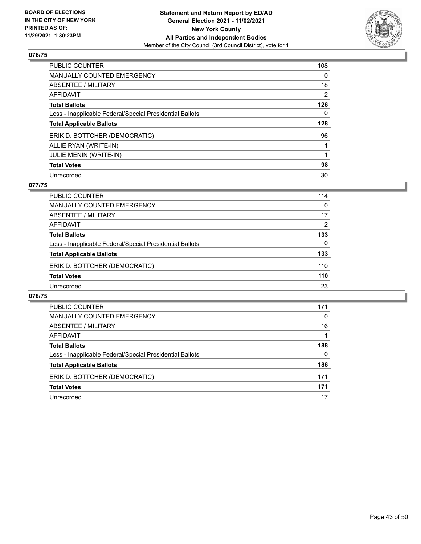

| PUBLIC COUNTER                                           | 108 |
|----------------------------------------------------------|-----|
| MANUALLY COUNTED EMERGENCY                               | 0   |
| ABSENTEE / MILITARY                                      | 18  |
| AFFIDAVIT                                                | 2   |
| <b>Total Ballots</b>                                     | 128 |
| Less - Inapplicable Federal/Special Presidential Ballots | 0   |
| <b>Total Applicable Ballots</b>                          | 128 |
| ERIK D. BOTTCHER (DEMOCRATIC)                            | 96  |
| ALLIE RYAN (WRITE-IN)                                    |     |
| <b>JULIE MENIN (WRITE-IN)</b>                            |     |
|                                                          |     |
| <b>Total Votes</b>                                       | 98  |

## **077/75**

| PUBLIC COUNTER                                           | 114      |
|----------------------------------------------------------|----------|
| MANUALLY COUNTED EMERGENCY                               | 0        |
| ABSENTEE / MILITARY                                      | 17       |
| AFFIDAVIT                                                | 2        |
| <b>Total Ballots</b>                                     | 133      |
| Less - Inapplicable Federal/Special Presidential Ballots | $\Omega$ |
| <b>Total Applicable Ballots</b>                          | 133      |
| ERIK D. BOTTCHER (DEMOCRATIC)                            | 110      |
| <b>Total Votes</b>                                       | 110      |
| Unrecorded                                               | 23       |
|                                                          |          |

| PUBLIC COUNTER                                           | 171 |
|----------------------------------------------------------|-----|
| <b>MANUALLY COUNTED EMERGENCY</b>                        | 0   |
| ABSENTEE / MILITARY                                      | 16  |
| AFFIDAVIT                                                |     |
| <b>Total Ballots</b>                                     | 188 |
| Less - Inapplicable Federal/Special Presidential Ballots | 0   |
| <b>Total Applicable Ballots</b>                          | 188 |
| ERIK D. BOTTCHER (DEMOCRATIC)                            | 171 |
| <b>Total Votes</b>                                       | 171 |
| Unrecorded                                               | 17  |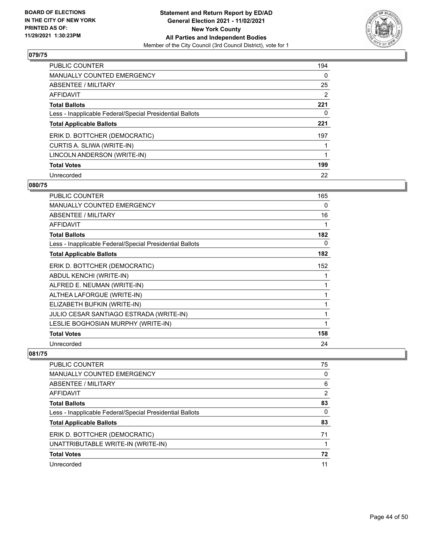

| <b>PUBLIC COUNTER</b>                                    | 194 |
|----------------------------------------------------------|-----|
| <b>MANUALLY COUNTED EMERGENCY</b>                        | 0   |
| ABSENTEE / MILITARY                                      | 25  |
| AFFIDAVIT                                                | 2   |
| <b>Total Ballots</b>                                     | 221 |
| Less - Inapplicable Federal/Special Presidential Ballots | 0   |
| <b>Total Applicable Ballots</b>                          | 221 |
| ERIK D. BOTTCHER (DEMOCRATIC)                            | 197 |
| CURTIS A. SLIWA (WRITE-IN)                               |     |
| LINCOLN ANDERSON (WRITE-IN)                              |     |
| <b>Total Votes</b>                                       | 199 |
| Unrecorded                                               | 22  |

#### **080/75**

| <b>PUBLIC COUNTER</b>                                    | 165 |
|----------------------------------------------------------|-----|
| <b>MANUALLY COUNTED EMERGENCY</b>                        | 0   |
| <b>ABSENTEE / MILITARY</b>                               | 16  |
| <b>AFFIDAVIT</b>                                         | 1   |
| <b>Total Ballots</b>                                     | 182 |
| Less - Inapplicable Federal/Special Presidential Ballots | 0   |
| <b>Total Applicable Ballots</b>                          | 182 |
| ERIK D. BOTTCHER (DEMOCRATIC)                            | 152 |
| ABDUL KENCHI (WRITE-IN)                                  | 1   |
| ALFRED E. NEUMAN (WRITE-IN)                              | 1   |
| ALTHEA LAFORGUE (WRITE-IN)                               | 1   |
| ELIZABETH BUFKIN (WRITE-IN)                              | 1   |
| JULIO CESAR SANTIAGO ESTRADA (WRITE-IN)                  | 1   |
| LESLIE BOGHOSIAN MURPHY (WRITE-IN)                       |     |
| <b>Total Votes</b>                                       | 158 |
| Unrecorded                                               | 24  |

| PUBLIC COUNTER                                           | 75       |
|----------------------------------------------------------|----------|
| <b>MANUALLY COUNTED EMERGENCY</b>                        | 0        |
| <b>ABSENTEE / MILITARY</b>                               | 6        |
| AFFIDAVIT                                                | 2        |
| <b>Total Ballots</b>                                     | 83       |
| Less - Inapplicable Federal/Special Presidential Ballots | $\Omega$ |
| <b>Total Applicable Ballots</b>                          | 83       |
| ERIK D. BOTTCHER (DEMOCRATIC)                            | 71       |
| UNATTRIBUTABLE WRITE-IN (WRITE-IN)                       |          |
| <b>Total Votes</b>                                       | 72       |
| Unrecorded                                               | 11       |
|                                                          |          |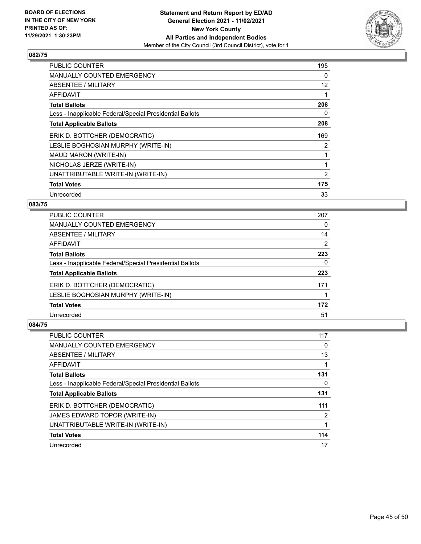

| <b>PUBLIC COUNTER</b>                                    | 195            |
|----------------------------------------------------------|----------------|
| <b>MANUALLY COUNTED EMERGENCY</b>                        | 0              |
| ABSENTEE / MILITARY                                      | 12             |
| AFFIDAVIT                                                |                |
| <b>Total Ballots</b>                                     | 208            |
| Less - Inapplicable Federal/Special Presidential Ballots | 0              |
| <b>Total Applicable Ballots</b>                          | 208            |
| ERIK D. BOTTCHER (DEMOCRATIC)                            | 169            |
| LESLIE BOGHOSIAN MURPHY (WRITE-IN)                       | 2              |
| MAUD MARON (WRITE-IN)                                    |                |
| NICHOLAS JERZE (WRITE-IN)                                |                |
| UNATTRIBUTABLE WRITE-IN (WRITE-IN)                       | $\overline{2}$ |
| <b>Total Votes</b>                                       | 175            |
| Unrecorded                                               | 33             |

# **083/75**

| <b>PUBLIC COUNTER</b>                                    | 207      |
|----------------------------------------------------------|----------|
| MANUALLY COUNTED EMERGENCY                               | $\Omega$ |
| ABSENTEE / MILITARY                                      | 14       |
| AFFIDAVIT                                                | 2        |
| <b>Total Ballots</b>                                     | 223      |
| Less - Inapplicable Federal/Special Presidential Ballots | 0        |
| <b>Total Applicable Ballots</b>                          | 223      |
| ERIK D. BOTTCHER (DEMOCRATIC)                            | 171      |
| LESLIE BOGHOSIAN MURPHY (WRITE-IN)                       |          |
| <b>Total Votes</b>                                       | 172      |
| Unrecorded                                               | 51       |

| PUBLIC COUNTER                                           | 117 |
|----------------------------------------------------------|-----|
| <b>MANUALLY COUNTED EMERGENCY</b>                        | 0   |
| ABSENTEE / MILITARY                                      | 13  |
| AFFIDAVIT                                                |     |
| <b>Total Ballots</b>                                     | 131 |
| Less - Inapplicable Federal/Special Presidential Ballots | 0   |
| <b>Total Applicable Ballots</b>                          | 131 |
| ERIK D. BOTTCHER (DEMOCRATIC)                            | 111 |
| JAMES EDWARD TOPOR (WRITE-IN)                            | 2   |
| UNATTRIBUTABLE WRITE-IN (WRITE-IN)                       |     |
| <b>Total Votes</b>                                       | 114 |
| Unrecorded                                               | 17  |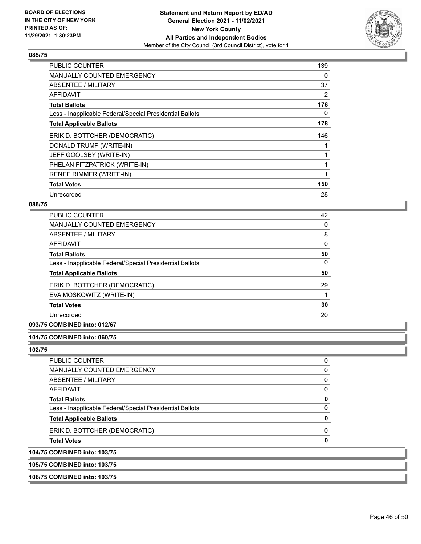

| <b>PUBLIC COUNTER</b>                                    | 139 |
|----------------------------------------------------------|-----|
| <b>MANUALLY COUNTED EMERGENCY</b>                        | 0   |
| ABSENTEE / MILITARY                                      | 37  |
| AFFIDAVIT                                                | 2   |
| <b>Total Ballots</b>                                     | 178 |
| Less - Inapplicable Federal/Special Presidential Ballots | 0   |
| <b>Total Applicable Ballots</b>                          | 178 |
| ERIK D. BOTTCHER (DEMOCRATIC)                            | 146 |
| DONALD TRUMP (WRITE-IN)                                  |     |
| JEFF GOOLSBY (WRITE-IN)                                  |     |
| PHELAN FITZPATRICK (WRITE-IN)                            |     |
| <b>RENEE RIMMER (WRITE-IN)</b>                           |     |
| <b>Total Votes</b>                                       | 150 |
| Unrecorded                                               | 28  |

#### **086/75**

| PUBLIC COUNTER                                           | 42       |
|----------------------------------------------------------|----------|
| MANUALLY COUNTED EMERGENCY                               | $\Omega$ |
| ABSENTEE / MILITARY                                      | 8        |
| AFFIDAVIT                                                | $\Omega$ |
| <b>Total Ballots</b>                                     | 50       |
| Less - Inapplicable Federal/Special Presidential Ballots | 0        |
| <b>Total Applicable Ballots</b>                          | 50       |
| ERIK D. BOTTCHER (DEMOCRATIC)                            | 29       |
| EVA MOSKOWITZ (WRITE-IN)                                 |          |
| <b>Total Votes</b>                                       | 30       |
| Unrecorded                                               | 20       |

# **093/75 COMBINED into: 012/67**

#### **101/75 COMBINED into: 060/75**

**102/75** 

| 104/75 COMBINED into: 103/75                             |   |
|----------------------------------------------------------|---|
| <b>Total Votes</b>                                       | O |
| ERIK D. BOTTCHER (DEMOCRATIC)                            | O |
| <b>Total Applicable Ballots</b>                          | O |
| Less - Inapplicable Federal/Special Presidential Ballots | O |
| <b>Total Ballots</b>                                     | 0 |
| AFFIDAVIT                                                |   |
| ABSENTEE / MILITARY                                      |   |
| MANUALLY COUNTED EMERGENCY                               |   |
| PUBLIC COUNTER                                           | O |

**105/75 COMBINED into: 103/75**

**106/75 COMBINED into: 103/75**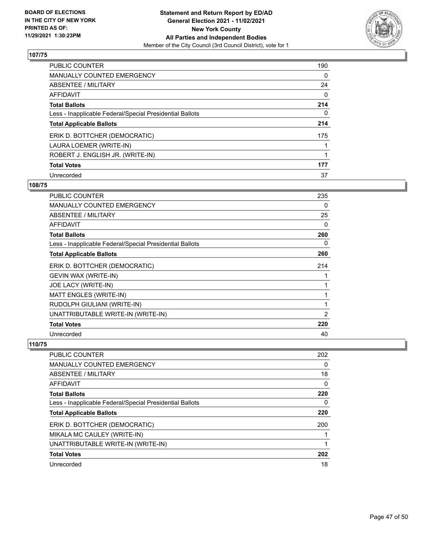

| <b>PUBLIC COUNTER</b>                                    | 190      |
|----------------------------------------------------------|----------|
| <b>MANUALLY COUNTED EMERGENCY</b>                        | $\Omega$ |
| ABSENTEE / MILITARY                                      | 24       |
| <b>AFFIDAVIT</b>                                         | 0        |
| <b>Total Ballots</b>                                     | 214      |
| Less - Inapplicable Federal/Special Presidential Ballots | 0        |
| <b>Total Applicable Ballots</b>                          | 214      |
| ERIK D. BOTTCHER (DEMOCRATIC)                            | 175      |
| LAURA LOEMER (WRITE-IN)                                  |          |
| ROBERT J. ENGLISH JR. (WRITE-IN)                         | 1        |
| <b>Total Votes</b>                                       | 177      |
| Unrecorded                                               | 37       |

#### **108/75**

| <b>PUBLIC COUNTER</b>                                    | 235            |
|----------------------------------------------------------|----------------|
| <b>MANUALLY COUNTED EMERGENCY</b>                        | 0              |
| ABSENTEE / MILITARY                                      | 25             |
| AFFIDAVIT                                                | 0              |
| <b>Total Ballots</b>                                     | 260            |
| Less - Inapplicable Federal/Special Presidential Ballots | 0              |
| <b>Total Applicable Ballots</b>                          | 260            |
| ERIK D. BOTTCHER (DEMOCRATIC)                            | 214            |
| GEVIN WAX (WRITE-IN)                                     | 1              |
| JOE LACY (WRITE-IN)                                      | 1              |
| MATT ENGLES (WRITE-IN)                                   | 1              |
| RUDOLPH GIULIANI (WRITE-IN)                              | 1              |
| UNATTRIBUTABLE WRITE-IN (WRITE-IN)                       | $\overline{2}$ |
| <b>Total Votes</b>                                       | 220            |
| Unrecorded                                               | 40             |

| <b>PUBLIC COUNTER</b>                                    | 202      |
|----------------------------------------------------------|----------|
| <b>MANUALLY COUNTED EMERGENCY</b>                        | $\Omega$ |
| ABSENTEE / MILITARY                                      | 18       |
| AFFIDAVIT                                                | 0        |
| <b>Total Ballots</b>                                     | 220      |
| Less - Inapplicable Federal/Special Presidential Ballots | 0        |
| <b>Total Applicable Ballots</b>                          | 220      |
| ERIK D. BOTTCHER (DEMOCRATIC)                            | 200      |
| MIKALA MC CAULEY (WRITE-IN)                              |          |
| UNATTRIBUTABLE WRITE-IN (WRITE-IN)                       |          |
| <b>Total Votes</b>                                       | 202      |
| Unrecorded                                               | 18       |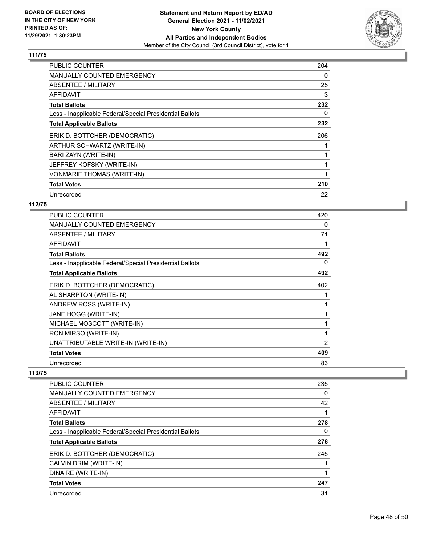

| <b>PUBLIC COUNTER</b>                                    | 204 |
|----------------------------------------------------------|-----|
| MANUALLY COUNTED EMERGENCY                               | 0   |
| ABSENTEE / MILITARY                                      | 25  |
| AFFIDAVIT                                                | 3   |
| <b>Total Ballots</b>                                     | 232 |
| Less - Inapplicable Federal/Special Presidential Ballots | 0   |
| <b>Total Applicable Ballots</b>                          | 232 |
| ERIK D. BOTTCHER (DEMOCRATIC)                            | 206 |
| ARTHUR SCHWARTZ (WRITE-IN)                               |     |
| BARI ZAYN (WRITE-IN)                                     |     |
| JEFFREY KOFSKY (WRITE-IN)                                |     |
| <b>VONMARIE THOMAS (WRITE-IN)</b>                        |     |
| <b>Total Votes</b>                                       | 210 |
| Unrecorded                                               | 22  |

# **112/75**

| <b>PUBLIC COUNTER</b>                                    | 420 |
|----------------------------------------------------------|-----|
| <b>MANUALLY COUNTED EMERGENCY</b>                        | 0   |
| ABSENTEE / MILITARY                                      | 71  |
| <b>AFFIDAVIT</b>                                         |     |
| Total Ballots                                            | 492 |
| Less - Inapplicable Federal/Special Presidential Ballots | 0   |
| <b>Total Applicable Ballots</b>                          | 492 |
| ERIK D. BOTTCHER (DEMOCRATIC)                            | 402 |
| AL SHARPTON (WRITE-IN)                                   |     |
| ANDREW ROSS (WRITE-IN)                                   |     |
| JANE HOGG (WRITE-IN)                                     | 1   |
| MICHAEL MOSCOTT (WRITE-IN)                               |     |
| RON MIRSO (WRITE-IN)                                     | 1   |
| UNATTRIBUTABLE WRITE-IN (WRITE-IN)                       | 2   |
| <b>Total Votes</b>                                       | 409 |
| Unrecorded                                               | 83  |

| <b>PUBLIC COUNTER</b>                                    | 235      |
|----------------------------------------------------------|----------|
| <b>MANUALLY COUNTED EMERGENCY</b>                        | 0        |
| ABSENTEE / MILITARY                                      | 42       |
| <b>AFFIDAVIT</b>                                         | 1        |
| <b>Total Ballots</b>                                     | 278      |
| Less - Inapplicable Federal/Special Presidential Ballots | $\Omega$ |
| <b>Total Applicable Ballots</b>                          | 278      |
| ERIK D. BOTTCHER (DEMOCRATIC)                            | 245      |
| CALVIN DRIM (WRITE-IN)                                   |          |
| DINA RE (WRITE-IN)                                       |          |
| <b>Total Votes</b>                                       | 247      |
| Unrecorded                                               | 31       |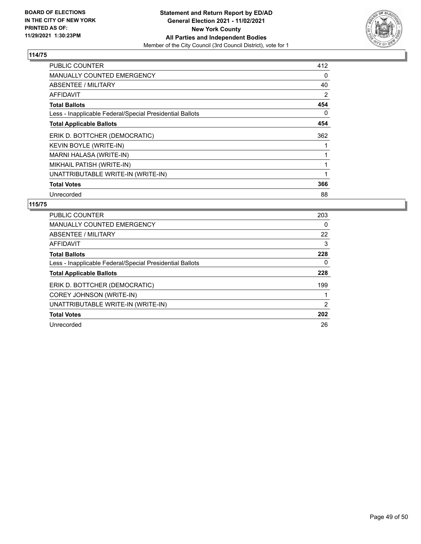

| <b>PUBLIC COUNTER</b>                                    | 412 |
|----------------------------------------------------------|-----|
| <b>MANUALLY COUNTED EMERGENCY</b>                        | 0   |
| ABSENTEE / MILITARY                                      | 40  |
| AFFIDAVIT                                                | 2   |
| <b>Total Ballots</b>                                     | 454 |
| Less - Inapplicable Federal/Special Presidential Ballots | 0   |
| <b>Total Applicable Ballots</b>                          | 454 |
| ERIK D. BOTTCHER (DEMOCRATIC)                            | 362 |
| KEVIN BOYLE (WRITE-IN)                                   |     |
| MARNI HALASA (WRITE-IN)                                  |     |
| MIKHAIL PATISH (WRITE-IN)                                |     |
| UNATTRIBUTABLE WRITE-IN (WRITE-IN)                       |     |
| <b>Total Votes</b>                                       | 366 |
| Unrecorded                                               | 88  |

| <b>PUBLIC COUNTER</b>                                    | 203 |
|----------------------------------------------------------|-----|
| <b>MANUALLY COUNTED EMERGENCY</b>                        | 0   |
| ABSENTEE / MILITARY                                      | 22  |
| AFFIDAVIT                                                | 3   |
| <b>Total Ballots</b>                                     | 228 |
| Less - Inapplicable Federal/Special Presidential Ballots | 0   |
| <b>Total Applicable Ballots</b>                          | 228 |
| ERIK D. BOTTCHER (DEMOCRATIC)                            | 199 |
| <b>COREY JOHNSON (WRITE-IN)</b>                          |     |
| UNATTRIBUTABLE WRITE-IN (WRITE-IN)                       | 2   |
| <b>Total Votes</b>                                       | 202 |
| Unrecorded                                               | 26  |